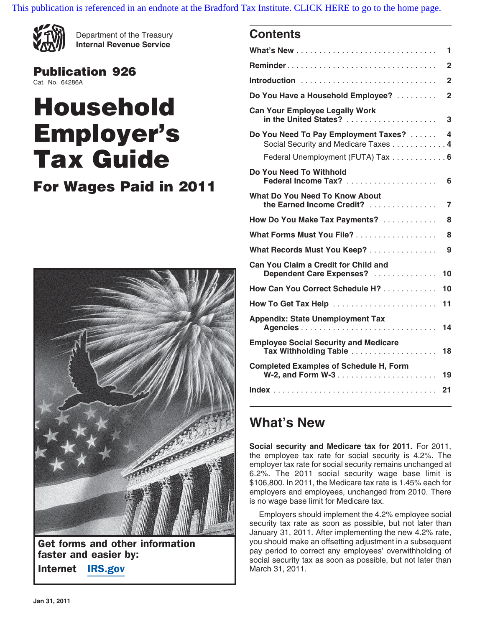[This publication is referenced in an endnote at the Bradford Tax Institute. CLICK HERE to go to the home page.](http://bradfordtaxinstitute.com/index1.aspx)



Department of the Treasury **Contents Internal Revenue Service**

# **Reminder**................................. **<sup>2</sup> Publication <sup>926</sup>**

Cat. No. 64286A **Introduction** .............................. **2**

# **Household Employer's Tax Guide**

**For Wages Paid in 2011** 



Internet IRS.gov March 31, 2011.

|                                                                              | 1              |
|------------------------------------------------------------------------------|----------------|
| <b>Reminder</b>                                                              | $\overline{2}$ |
|                                                                              | $\overline{2}$ |
| Do You Have a Household Employee?                                            | $\mathbf 2$    |
| <b>Can Your Employee Legally Work</b><br>in the United States?               | 3              |
| Do You Need To Pay Employment Taxes?<br>Social Security and Medicare Taxes 4 | 4              |
| Federal Unemployment (FUTA) Tax 6                                            |                |
| Do You Need To Withhold<br>Federal Income Tax?                               | 6              |
| <b>What Do You Need To Know About</b><br>the Earned Income Credit?           | 7              |
| How Do You Make Tax Payments?                                                | 8              |
| What Forms Must You File?                                                    | 8              |
| What Records Must You Keep?                                                  | 9              |
| <b>Can You Claim a Credit for Child and</b><br>Dependent Care Expenses?      | 10             |
| How Can You Correct Schedule H?                                              | 10             |
|                                                                              | 11             |
| <b>Appendix: State Unemployment Tax</b>                                      | 14             |
| <b>Employee Social Security and Medicare</b><br>Tax Withholding Table        | 18             |
| <b>Completed Examples of Schedule H, Form</b>                                | 19             |
|                                                                              | 21             |

# **What's New**

**Social security and Medicare tax for 2011.** For 2011, the employee tax rate for social security is 4.2%. The employer tax rate for social security remains unchanged at 6.2%. The 2011 social security wage base limit is \$106,800. In 2011, the Medicare tax rate is 1.45% each for employers and employees, unchanged from 2010. There is no wage base limit for Medicare tax.

Employers should implement the 4.2% employee social security tax rate as soon as possible, but not later than January 31, 2011. After implementing the new 4.2% rate, Get forms and other information you should make an offsetting adjustment in a subsequent<br>
foctor and oncior by:<br>  $\frac{1}{2}$  pay period to correct any employees' overwithholding of **faster and easier by: Exercise 2018** The pay period to correct any employees' overwithholding of **faster** and **easier by:** social security tax as soon as possible, but not later than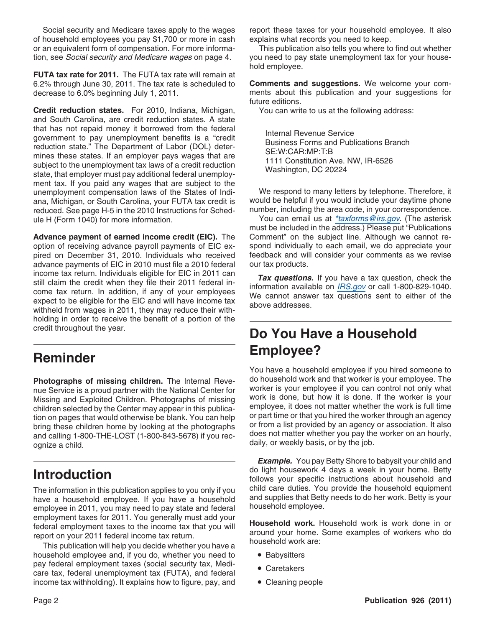of household employees you pay \$1,700 or more in cash explains what records you need to keep. or an equivalent form of compensation. For more informa- This publication also tells you where to find out whether tion, see Social security and Medicare wages on page 4. you need to pay state unemployment tax for your house-

**FUTA tax rate for 2011.** The FUTA tax rate will remain at 6.2% through June 30, 2011. The tax rate is scheduled to **Comments and suggestions.** We welcome your comdecrease to 6.0% beginning July 1, 2011. ments about this publication and your suggestions for

**Credit reduction states.** For 2010, Indiana, Michigan, You can write to us at the following address: and South Carolina, are credit reduction states. A state that has not repaid money it borrowed from the federal<br>government to pay unemployment benefits is a "credit<br>reduction state." The Department of Labor (DOL) deter-<br>mines these states. If an employer pays wages that are<br>subj ment tax. If you paid any wages that are subject to the unemployment compensation laws of the States of Indi-<br>ana. Michigan, or South Carolina, your FUTA tax credit is would be helpful if you would include your daytime phone ana, Michigan, or South Carolina, your FUTA tax credit is would be helpful if you would include your daytime phone reduced. See page H-5 in the 2010 Instructions for Schedule H (Form 1040) for more information. You can email us at \*taxforms@irs.gov. (The asterisk

**Advance payment of earned income credit (EIC).** The Comment" on the subject line. Although we cannot reoption of receiving advance payroll payments of EIC ex- spond individually to each email, we do appreciate your pired on December 31, 2010. Individuals who received feedback and will consider your comments as we revise advance payments of EIC in 2010 must file a 2010 federal our tax products. income tax return. Individuals eligible for EIC in 2011 can<br>still claim the credit when they file their 2011 federal in-<br>come tax return. In addition, if any of your employees<br>expect to be eligible for the EIC and will hav holding in order to receive the benefit of a portion of the

nue Service is a proud partner with the National Center for worker is your employee if you can control not only what<br>Missing and Exploited Children, Photographs of missing work is done, but how it is done. If the worker is Missing and Exploited Children. Photographs of missing work is done, but how it is done. If the worker is your<br>children selected by the Center may appear in this publica. employee, it does not matter whether the work is fu children selected by the Center may appear in this publica-<br>tion on pages that would otherwise be blank. You can help<br>bring these children home by looking at the photographs<br>and calling 1-800-THE-LOST (1-800-843-5678) if y

have a household employee. If you have a household and supplies that Betty needs to her work. Betty need to her employee in 2011, you may need to pay state and federal employment taxes for 2011. You generally must add your<br>federal employment taxes to the income tax that you will<br>report on your 2011 federal income tax return.<br>This publication will help you decide whether you have a<br>This p

household employee and, if you do, whether you need to • Babysitters pay federal employment taxes (social security tax, Medi-<br>
• Caretakers care tax, federal unemployment tax (FUTA), and federal income tax withholding). It explains how to figure, pay, and • Cleaning people

Social security and Medicare taxes apply to the wages report these taxes for your household employee. It also

hold employee.

future editions.

must be included in the address.) Please put "Publications

# credit throughout the year. **Do You Have a Household Employee? Reminder**

You have a household employee if you hired someone to **Photographs of missing children.** The Internal Reve- do household work and that worker is your employee. The nue Service is a proud partner with the National Center for worker is your employee if you can control not only

*Example.* You pay Betty Shore to babysit your child and **Introduction Introduction Introduction Introduction** *Introduction Interpretigm Interpretigm follows your specific instructions about household and* The information in this publication applies to you only if you child care duties. You provide the household equipment<br>have a bousehold employee, if you have a bousehold and supplies that Betty needs to do her work. Betty i

- 
- 
-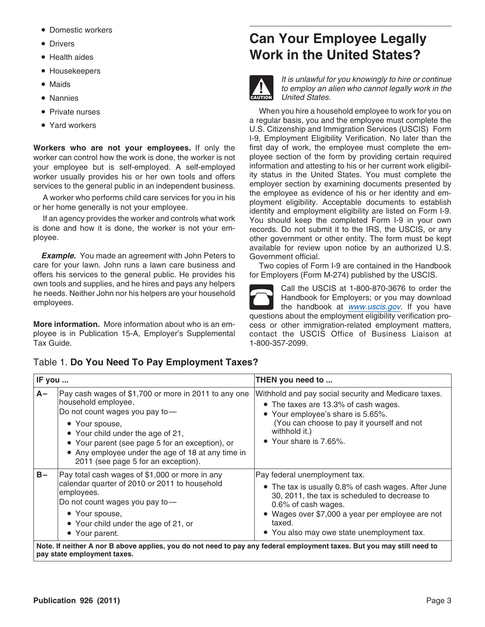- Domestic workers
- Drivers
- Health aides
- Housekeepers
- 
- Nannies
- Private nurses
- 

**Workers who are not your employees.** If only the first day of work, the employee must complete the emworker can control how the work is done, the worker is not ployee section of the form by providing certain required<br>vour employee but is self-employed. A self-employed information and attesting to his or her current work e your employee but is self-employed. A self-employed information and attesting to his or her current work eligibil-<br>worker usually provides his or her own tools and offers ity status in the United States. You must complete worker usually provides his or her own tools and offers ity status in the United States. You must complete the<br>services to the general public in an independent business employer section by examining documents presented by

is done and how it is done, the worker is not your em- records. Do not submit it to the IRS, the USCIS, or any

**Example.** You made an agreement with John Peters to Government official. care for your lawn. John runs a lawn care business and Two copies of Form I-9 are contained in the Handbook offers his services to the general public. He provides his for Employers (Form M-274) published by the USCIS. own tools and supplies, and he hires and pays any helpers<br>he needs. Neither John nor his helpers are your household<br>employees.<br>Handbook for Employers; or you may download<br>the handbook at *www.uscis.gov*. If you have

**More information.** More information about who is an em- cess or other immigration-related employment matters, Tax Guide. 1-800-357-2099.

# **Can Your Employee Legally Work in the United States?**



• Maids **It is unlawful for you knowingly to hire or continue** • Maids to employ an alien who cannot legally work in the **United States.** 

When you hire a household employee to work for you on a regular basis, you and the employee must complete the<br>• Yard workers example the entity of the Citizenship and Insulation Campions (UCCIC). Farm U.S. Citizenship and Immigration Services (USCIS) Form I-9, Employment Eligibility Verification. No later than the Services to the general public in an independent business.<br>A worker who performs child care services for you in his<br>or her home generally is not your employee.<br>If an agency provides the worker and controls what work<br>If an ployee. other government or other entity. The form must be kept available for review upon notice by an authorized U.S.

questions about the employment eligibility verification proployee is in Publication 15-A, Employer's Supplemental contact the USCIS Office of Business Liaison at

|  | Table 1. Do You Need To Pay Employment Taxes? |  |  |  |  |  |
|--|-----------------------------------------------|--|--|--|--|--|
|--|-----------------------------------------------|--|--|--|--|--|

| IF you |                                                                                                                                                                                                                                                                                                                     | THEN you need to                                                                                                                                                                                                                                                         |  |  |  |  |
|--------|---------------------------------------------------------------------------------------------------------------------------------------------------------------------------------------------------------------------------------------------------------------------------------------------------------------------|--------------------------------------------------------------------------------------------------------------------------------------------------------------------------------------------------------------------------------------------------------------------------|--|--|--|--|
| $A -$  | Pay cash wages of \$1,700 or more in 2011 to any one<br>household employee.<br>Do not count wages you pay to-<br>• Your spouse,<br>• Your child under the age of 21,<br>• Your parent (see page 5 for an exception), or<br>• Any employee under the age of 18 at any time in<br>2011 (see page 5 for an exception). | Withhold and pay social security and Medicare taxes.<br>• The taxes are 13.3% of cash wages.<br>• Your employee's share is 5.65%.<br>(You can choose to pay it yourself and not<br>withhold it.)<br>• Your share is 7.65%.                                               |  |  |  |  |
| $B -$  | Pay total cash wages of \$1,000 or more in any<br>calendar quarter of 2010 or 2011 to household<br>employees.<br>Do not count wages you pay to-<br>• Your spouse,<br>• Your child under the age of 21, or<br>• Your parent.                                                                                         | Pay federal unemployment tax.<br>• The tax is usually 0.8% of cash wages. After June<br>30, 2011, the tax is scheduled to decrease to<br>0.6% of cash wages.<br>• Wages over \$7,000 a year per employee are not<br>taxed.<br>• You also may owe state unemployment tax. |  |  |  |  |
|        | Note. If neither A nor B above applies, you do not need to pay any federal employment taxes. But you may still need to<br>pay state employment taxes.                                                                                                                                                               |                                                                                                                                                                                                                                                                          |  |  |  |  |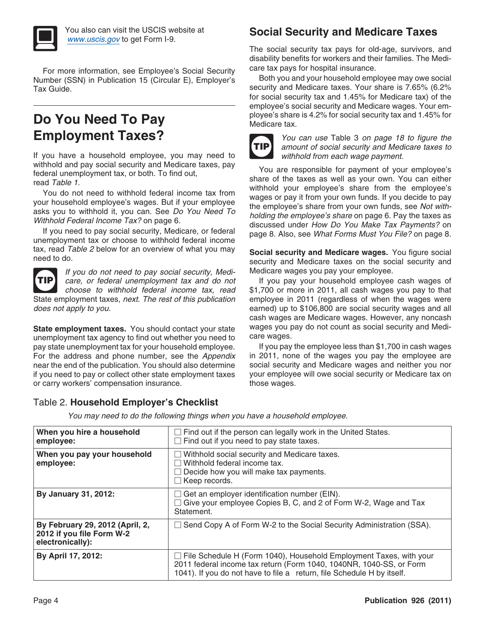

For more information, see Employee's Social Security care tax pays for hospital insurance.<br>mber (SSN) in Publication 15 (Circular F), Employer's \_\_\_\_\_\_\_\_\_\_\_\_\_\_\_\_\_\_\_\_\_\_\_\_\_\_\_ Number (SSN) in Publication 15 (Circular E), Employer's Tax Guide. **Subset Act and Security and Medicare taxes. Your share is 7.65% (6.2%**)

If you have a household employee, you may need to withhold from each wage payment.

If you need to pay social security, Medicare, or federal page 8. Also, see What Forms Must You File? on page 8.<br>If you need to pay social security, Medicare, or federal income unemployment tax or choose to withhold federal



If you do not need to pay social security, Medi- Medicare wages you pay your employee.

**State employment taxes.** You should contact your state wages you pay do not count as social security and Medi-<br>unemployment tax agency to find out whether you need to care wages. unemployment tax agency to find out whether you need to pay state unemployment tax for your household employee. If you pay the employee less than \$1,700 in cash wages For the address and phone number, see the Appendix in 2011, none of the wages you pay the employee are near the end of the publication. You should also determine social security and Medicare wages and neither you nor if you need to pay or collect other state employment taxes your employee will owe social security or Medicare tax on or carry workers' compensation insurance. The same those wages.

# You also can visit the USCIS website at **Social Security and Medicare Taxes** www.uscis.gov to get Form I-9.

The social security tax pays for old-age, survivors, and disability benefits for workers and their families. The Medi-

for social security tax and 1.45% for Medicare tax) of the employee's social security and Medicare wages. Your em-**Do You Need To Pay** ployee's share is 4.2% for social security tax and 1.45% for **Do You Need To Pay** 



**Employment Taxes?** You can use Table 3 on page 18 to figure the amount of social security and Medicare taxes to

withhold and pay social security and Medicare taxes, pay<br>federal unemployment tax, or both. To find out,<br>read Table 1.<br>You do not need to withhold federal income tax from<br>your household employee's wages. But if your employ

tax, read Table 2 below for an overview of what you may **Social security and Medicare wages.** You figure social need to do.

care, or federal unemployment tax and do not If you pay your household employee cash wages of choose to withhold federal income tax, read \$1,700 or more in 2011, all cash wages you pay to that State employment taxes, next. The rest of this publication employee in 2011 (regardless of when the wages were does not apply to you. The same of the second version of the second security wages and all cash wages are Medicare wages. However, any noncash

# Table 2. **Household Employer's Checklist**

You may need to do the following things when you have a household employee.

| When you hire a household<br>employee:                                           | Find out if the person can legally work in the United States.<br>Find out if you need to pay state taxes.                                                                                                                  |
|----------------------------------------------------------------------------------|----------------------------------------------------------------------------------------------------------------------------------------------------------------------------------------------------------------------------|
| When you pay your household<br>employee:                                         | Withhold social security and Medicare taxes.<br>Withhold federal income tax.<br>Decide how you will make tax payments.<br>Keep records.                                                                                    |
| By January 31, 2012:                                                             | Get an employer identification number (EIN).<br>$\Box$ Give your employee Copies B, C, and 2 of Form W-2, Wage and Tax<br>Statement.                                                                                       |
| By February 29, 2012 (April, 2,<br>2012 if you file Form W-2<br>electronically): | Send Copy A of Form W-2 to the Social Security Administration (SSA).                                                                                                                                                       |
| By April 17, 2012:                                                               | $\Box$ File Schedule H (Form 1040), Household Employment Taxes, with your<br>2011 federal income tax return (Form 1040, 1040NR, 1040-SS, or Form<br>1041). If you do not have to file a return, file Schedule H by itself. |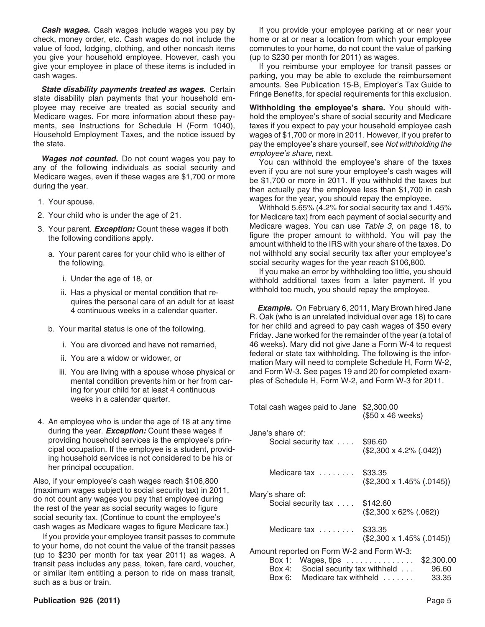check, money order, etc. Cash wages do not include the home or at or near a location from which your employee value of parking<br>value of food, lodging, clothing, and other noncash items commutes to your home, do not count t value of food, lodging, clothing, and other noncash items you give your household employee. However, cash you (up to \$230 per month for 2011) as wages. give your employee in place of these items is included in If you reimburse your employee for transit passes or cash wages. parking, you may be able to exclude the reimbursement

ployee may receive are treated as social security and **Withholding the employee's share.** You should with-Medicare wages. For more information about these pay-<br>ments, see Instructions for Schedule H (Form 1040), taxes if you expect to pay your household employee cash Household Employment Taxes, and the notice issued by wages of \$1,700 or more in 2011. However, if you prefer to

**Wages not counted.** Do not count wages you pay to<br>any of the following individuals as social security and<br>Medicare wages, even if these wages are \$1,700 or more<br>during the year.<br>during the year.<br>then actually pay the empl

- 
- 
- - -
		-
	- -
		-
		- ing for your child for at least 4 continuous weeks in a calendar quarter.
- 4. An employee who is under the age of 18 at any time during the year. **Exception:** Count these wages if providing household services is the employee's principal occupation. If the employee is a student, providing household services is not considered to be his or her principal occupation.

Cash wages. Cash wages include wages you pay by If you provide your employee parking at or near your

**State disability payments treated as wages.** Certain amounts. See Publication 15-B, Employer's Tax Guide to state disability plan payments that your household em-

taxes if you expect to pay your household employee cash the state. **pay the employee's share yourself, see Not withholding the** networking the state.

1. Your spouse.<br>Wages for the year, you should repay the employee.<br>2. Your child who is under the age of 21.<br>for Medicare tax) from each nayment of social security and for Medicare tax) from each payment of social security and 3. Your parent. **Exception:** Count these wages if both Medicare wages. You can use Table 3, on page 18, to figure the proper amount to withhold. You will pay the following conditions apply.<br>amount withheld to the IRS with a. Your parent cares for your child who is either of not withhold any social security tax after your employee's the following. social security wages for the year reach \$106,800.

If you make an error by withholding too little, you should<br>i. Under the age of 18, or withhold additional taxes from a later payment. If you ii. Has a physical or mental condition that re-<br>withhold too much, you should repay the employee.

quires the personal care of an adult for at least<br>4 continuous weeks in a calendar quarter.<br>R. Oak (who is an unrelated individual over age 18) to care for her child and agreed to pay cash wages of \$50 every b. Your marital status is one of the following. Friday. Jane worked for the remainder of the year (a total of i. You are divorced and have not remarried, 46 weeks). Mary did not give Jane a Form W-4 to request federal or state tax withholding. The following is the infor- ii. You are a widow or widower, or mation Mary will need to complete Schedule H, Form W-2, iii. You are living with a spouse whose physical or and Form W-3. See pages 19 and 20 for completed exammental condition prevents him or her from car-<br>
ples of Schedule H, Form W-2, and Form W-3 for 2011.

Total cash wages paid to Jane \$2,300.00

| 4. An employee who is under the age of 18 at any time<br>during the year. Exception: Count these wages if                                                                                                                                                                   |                                                                                                                                                                         | (\$50 x 46 weeks)                            |
|-----------------------------------------------------------------------------------------------------------------------------------------------------------------------------------------------------------------------------------------------------------------------------|-------------------------------------------------------------------------------------------------------------------------------------------------------------------------|----------------------------------------------|
| providing household services is the employee's prin-<br>cipal occupation. If the employee is a student, provid-<br>ing household services is not considered to be his or                                                                                                    | Jane's share of:<br>Social security tax                                                                                                                                 | \$96.60<br>$($2,300 \times 4.2\% (0.042))$   |
| her principal occupation.                                                                                                                                                                                                                                                   | Medicare tax                                                                                                                                                            | \$33.35                                      |
| Also, if your employee's cash wages reach \$106,800                                                                                                                                                                                                                         |                                                                                                                                                                         | $($2,300 \times 1.45\% (.0145))$             |
| (maximum wages subject to social security tax) in 2011,<br>do not count any wages you pay that employee during<br>the rest of the year as social security wages to figure<br>social security tax. (Continue to count the employee's                                         | Mary's share of:<br>Social security tax                                                                                                                                 | \$142.60<br>$($2,300 \times 62\% (0.062))$   |
| cash wages as Medicare wages to figure Medicare tax.)<br>If you provide your employee transit passes to commute                                                                                                                                                             | Medicare tax                                                                                                                                                            | \$33.35<br>$($2,300 \times 1.45\% (0.0145))$ |
| to your home, do not count the value of the transit passes<br>(up to \$230 per month for tax year 2011) as wages. A<br>transit pass includes any pass, token, fare card, voucher,<br>or similar item entitling a person to ride on mass transit,<br>such as a bus or train. | Amount reported on Form W-2 and Form W-3:<br>Box 1: Wages, tips $\ldots \ldots \ldots \ldots$<br>Box 4: Social security tax withheld<br>Medicare tax withheld<br>Box 6: | \$2,300.00<br>96.60<br>33.35                 |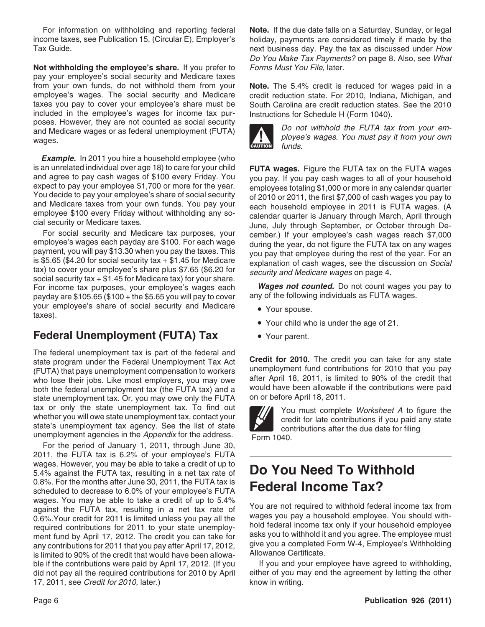income taxes, see Publication 15, (Circular E), Employer's holiday, payments are considered timely if made by the Tax Guide.

**Not withholding the employee's share.** If you prefer to Forms Must You File, later. pay your employee's social security and Medicare taxes from your own funds, do not withhold them from your **Note.** The 5.4% credit is reduced for wages paid in a employee's wages. The social security and Medicare credit reduction state. For 2010, Indiana, Michigan, and taxes you pay to cover your employee's share must be South Carolina are credit reduction states. See the 2010 included in the employee's wages for income tax pur-<br>poses. However, they are not counted as social security

**Example.** In 2011 you hire a household employee (who

For social security and Medicare tax purposes, your<br>employee's cash wages reach \$7,000<br>employee's wages each payday are \$100. For each wage<br>payment, you will pay \$13.30 when you pay the taxes. This<br>is \$5.65 (\$4.20 for soc For income tax purposes, your employee's wages each **Wages not counted.** Do not count wages you pay to pay to pay to pay to pay to pay to pay to pay to pay to pay to pay to pay to pay to pay to pay to pay to pay to pay to payday are  $$105.65$  ( $$100 +$  the  $$5.65$  you will pay to cover your employee's share of social security and Medicare  $\qquad \bullet \quad$  Your spouse.<br>taxes).

# **Federal Unemployment (FUTA) Tax • Your parent.**

The federal unemployment tax is part of the federal and<br>state program under the Federal Unemployment Tax Act<br>(FUTA) that pays unemployment compensation to workers<br>who lose their jobs. Like most employers, you may owe after who lose their jobs. Like most employers, you may owe after April 18, 2011, is limited to 90% of the credit that<br>both the federal unemployment tax (the FUTA tax) and a would have been allowable if the contributions were pa both the federal unemployment tax (the FUTA tax) and a would have been allowable state unemployment tax Or you may owe only the FUTA on or before April 18, 2011. state unemployment tax. Or, you may owe only the FUTA tax or only the state unemployment tax. To find out<br>whether you will owe state unemployment tax, contact your<br>state's unemployment tax agency. See the list of state<br>unemployment agencies in the *Appendix* for the address.<br>

For the period of January 1, 2011, through June 30, 2011, the FUTA tax is 6.2% of your employee's FUTA wages. However, you may be able to take a credit of up to 5.4% against the FUTA tax, resulting in a net tax rate of **Do You Need To Withhold** 0.8%. For the months after June 30, 2011, the FUTA tax is b.8%. For the montris after Jurie 30, 2011, the FOTA tax is **Federal Income Tax?** wages. You may be able to take a credit of up to 5.4% against the FUTA tax, resulting in a net tax rate of You are not required to withhold federal income tax from<br>a gainst the FUTA tax, resulting in a net tax rate of You are not required to withhold federal income tax from 0.6%. Your credit for 2011 is limited unless you pay all the wages you pay a nousehold employee. You should with-<br>
1.6% required contributions for 2011 to your state unemploy-<br>
1.6% hold federal income tax only if your hou ment fund by April 17, 2012. The credit you can take for asks you to withhold it and you agree. The employee must<br>any contributions for 2011 that you pay after April 17, 2012 give you a completed Form W-4, Employee's Withh any contributions for 2011 that you pay after April 17, 2012, give you a completed is limited to 90% of the credit that would have been allowed. Allowance Certificate. is limited to 90% of the credit that would have been allowable if the contributions were paid by April 17, 2012. (If you If you and your employee have agreed to withholding, did not pay all the required contributions for 2010 by April either of you may end the agreement by letting the other 17, 2011, see Credit for 2010, later.) know in writing.

For information on withholding and reporting federal **Note.** If the due date falls on a Saturday, Sunday, or legal next business day. Pay the tax as discussed under How Do You Make Tax Payments? on page 8. Also, see What

South Carolina are credit reduction states. See the 2010



and Medicare wages or as federal unemployment (FUTA)<br>wages.<br>wages.<br>funds.<br>funds.

is an unrelated individual over age 18) to care for your child<br>and agree to pay cash wages of \$100 every Friday. You<br>expect to pay your employee \$1,700 or more for the year.<br>You decide to pay your employee's share of socia

- 
- Your child who is under the age of 21.
-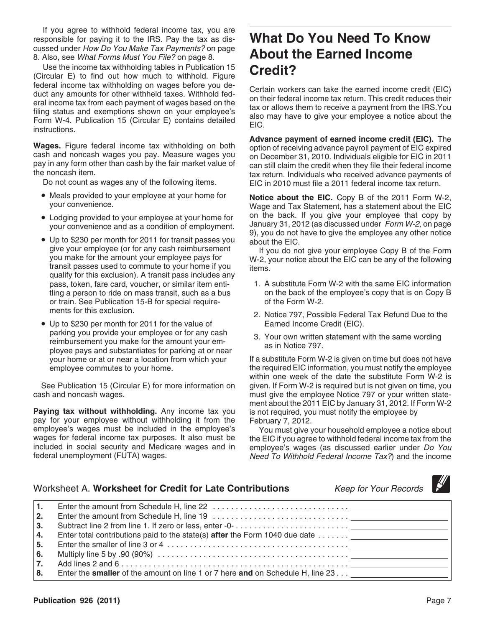If you agree to withhold federal income tax, you are responsible for paying it to the IRS. Pay the tax as dis- **What Do You Need To Know** cussed under How Do You Make Tax Payments? on page 8. Also, see What Forms Must You File? on page 8. **About the Earned Income**

Use the income tax withholding tables in Publication 15 Use the income tax withholding tables in Publication 15 **Credit?**<br>(Circular E) to find out how much to withhold. Figure Federal income tax withholding on wages before you de-<br>duct any amounts for other withheld taxes. Withhold fed-<br>eral income tax from each payment of wages based on the<br>filing status and exemptions shown on your employee's<br>

- Meals provided to your employee at your home for
- 
- Up to \$230 per month for 2011 for transit passes you about the EIC. qualify for this exclusion). A transit pass includes any or train. See Publication 15-B for special require- of the Form W-2. ments for this exclusion. 2. Notice 797, Possible Federal Tax Refund Due to the
- Up to \$230 per month for 2011 for the value of Farned Income Credit (EIC). parking you provide your employee or for any cash 3. Your own written statement with the same wording reimbursement you make for the amount your em-<br>ployee pays and substantiates for parking at or near as in Notice 797.

cash and noncash wages. must give the employee Notice 797 or your written state-

Paying tax without withholding. Any income tax you is not required, you must notify the employee by pay for your employee without withholding it from the February 7, 2012.<br>employee's wages must be included in the employee's You must give employee's wages must be included in the employee's You must give your household employee a notice about wages for federal income tax purposes. It also must be the EIC if you agree to withhold federal income tax from the wages for federal income tax purposes. It also must be the EIC if you agree to withhold federal income tax from the<br>included in social security and Medicare wages and in employee's wages (as discussed earlier under *Do You* included in social security and Medicare wages and in employee's wages (as discussed earlier under *Do You*<br>federal unemployment (FUTA) wages.<br>Need To Withhold Federal Income Tax?) and the income

**Advance payment of earned income credit (EIC).** The Wages. Figure federal income tax withholding on both<br>cash and noncash wages you pay. Measure wages you<br>pay in any form other than cash by the fair market value of<br>the noncash item.<br>Do not count as wages any of the followin EIC in 2010 must file a 2011 federal income tax return.

Meals provided to your employee at your home for **Notice about the EIC.** Copy B of the 2011 Form W-2, Wage and Tax Statement, has a statement about the EIC • Lodging provided to your employee at your home for on the back. If you give your employee that copy by your convenience and as a condition of employment. January 31, 2012 (as discussed under Form W-2, on page your convenience and as a condition of employment. 9), you do not have to give the employee any other notice

give your employee (or for any cash reimbursement<br>you make for the amount your employee pays for<br>transit passes used to commute to your home if you<br>items.

- pass, token, fare card, voucher, or similar item enti- 1. A substitute Form W-2 with the same EIC information tling a person to ride on mass transit, such as a bus on the back of the employee's copy that is on Copy B
	-
	-

your home or at or near a location from which your If a substitute Form W-2 is given on time but does not have employee commutes to your home. the required EIC information, you must notify the employee within one week of the date the substitute Form W-2 is See Publication 15 (Circular E) for more information on given. If Form W-2 is required but is not given on time, you ment about the 2011 EIC by January 31, 2012. If Form W-2

Need To Withhold Federal Income Tax?) and the income

# Worksheet A. Worksheet for Credit for Late Contributions Keep for Your Records

| $\mathbf{1}$ . |                                                                                                  |  |
|----------------|--------------------------------------------------------------------------------------------------|--|
| 2.             |                                                                                                  |  |
| 3 <sub>1</sub> |                                                                                                  |  |
| 4.             | Enter total contributions paid to the state(s) after the Form 1040 due date ____________________ |  |
| 5.             |                                                                                                  |  |
| 6.             |                                                                                                  |  |
| 7.             |                                                                                                  |  |
| 8.             | Enter the smaller of the amount on line 1 or 7 here and on Schedule H, line 23 [CrossBangler 10] |  |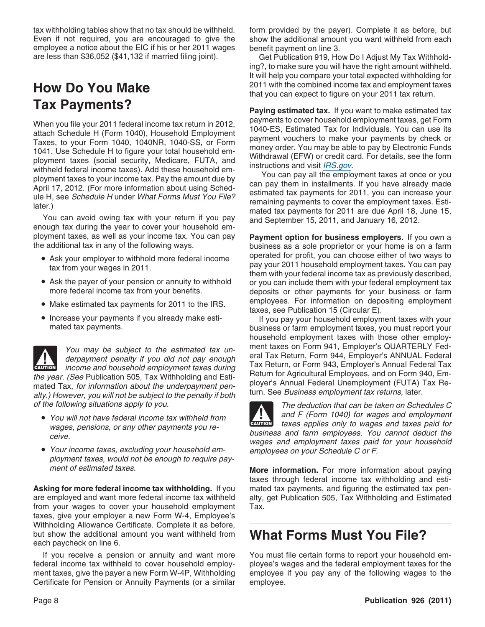tax withholding tables show that no tax should be withheld. form provided by the payer). Complete it as before, but Even if not required, you are encouraged to give the show the additional amount you want withheld from each employee a notice about the EIC if his or her 2011 wages benefit payment on line 3. are less than \$36,052 (\$41,132 if married filing joint). Get Publication 919, How Do I Adjust My Tax Withhold-

When you file your 2011 federal income tax return in 2012,<br>attach Schedule H (Form 1040), Household Employment<br>Taxes, to your Form 1040, 1040NR, 1040-SS, or Form<br>Taxes, to your Form 1040, 1040NR, 1040-SS, or Form<br>1041. Us

ployment taxes, as well as your income tax. You can pay **Payment option for business employers.** If you own a the additional tax in any of the following ways. business as a sole proprietor or your home is on a farm

- 
- Ask the payer of your pension or annuity to withhold
- 
- Increase your payments if you already make esti-



- You will not have federal income tax withheld from
- Your income taxes, excluding your household em- employees on your Schedule C or F. ployment taxes, would not be enough to require pay-

**Asking for more federal income tax withholding.** If you mated tax payments, and figuring the estimated tax penare employed and want more federal income tax withheld alty, get Publication 505, Tax Withholding and Estimated from your wages to cover your household employment Tax. taxes, give your employer a new Form W-4, Employee's Withholding Allowance Certificate. Complete it as before, but show the additional amount you want withheld from **What Forms Must You File?** each paycheck on line 6.

federal income tax withheld to cover household employ- ployee's wages and the federal employment taxes for the ment taxes, give the payer a new Form W-4P, Withholding employee if you pay any of the following wages to the Certificate for Pension or Annuity Payments (or a similar employee.

ing?, to make sure you will have the right amount withheld. It will help you compare your total expected withholding for **How Do You Make** 2011 with the combined income tax and employment taxes that you can expect to figure on your 2011 tax return.

**Tax Payments? Payments? Paying estimated tax.** If you want to make estimated tax

• Ask your employer to withhold more federal income operated for profit, you can choose either of two ways to Ask your 2011 household employment taxes. You can pay tax from your wages in 2011.<br>them with your federal income tax as previously described, Ask the payer of your pension or annuity to withhold or you can include them with your federal employment tax<br>more federal income tax from your benefits.<br>deposits or other payments for your business or farm deposits or other payments for your business or farm employees. For information on depositing employment • Make estimated tax payments for 2011 to the IRS. The riployees. For information on deposition 15 (Circular E).

 Increase your payments if you already make esti- If you pay your household employment taxes with your business or farm employment taxes, you must report your household employment taxes with those other employ-You may be subject to the estimated tax un-<br>derpayment penalty if you did not pay enough<br>income and household employment taxes during<br>(See Bubligation 505, Tax Withholding and Estimate detection of Agricultural Employees,

of the following situations apply to you. and  $F$  (Form 1040) for wages and employment and F (Form 1040) for wages and employment<br>taxes applies only to wages and taxes paid for wages, pensions, or any other payments you re-<br>business and farm employees. You cannot deduct the<br>wages and employment taxes paid for your household

ment of estimated taxes. **More information.** For more information about paying taxes through federal income tax withholding and esti-

If you receive a pension or annuity and want more You must file certain forms to report your household em-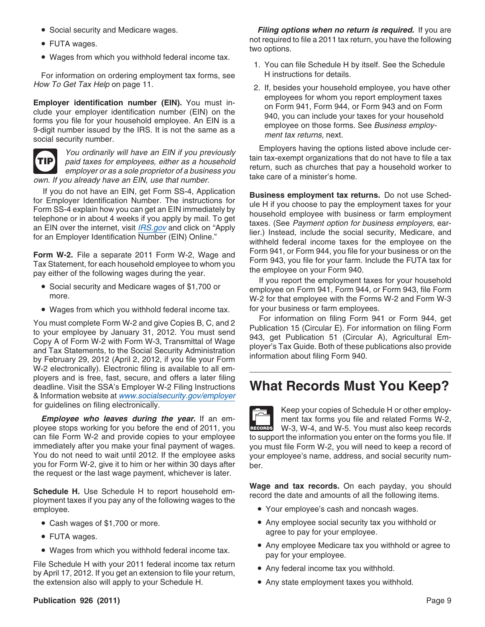- Social security and Medicare wages.
- 
- Wages from which you withhold federal income tax.

For information on ordering employment tax forms, see H instructions for details. How To Get Tax Help on page 11. 2. If, besides your household employee, you have other

**Employer identification number (EIN).** You must in-<br>clude your employer identification number (EIN) on the<br>forms you file for your household employee. An EIN is a<br>9-digit number issued by the IRS. It is not the same as a<br>



own. If you already have an EIN, use that number.

**Form W-2.** File a separate 2011 Form W-2, Wage and Tax Statement, for each household employee to whom you<br>Tax Statement, for each household employee to whom you<br>pay either of the following wages during the year.<br>If you re

- Social security and Medicare wages of \$1,700 or
- Wages from which you withhold federal income tax. For your business or farm employees.

You must complete Form W-2 and give Copies B, C, and 2<br>to your employee by January 31, 2012. You must send<br>Copy A of Form W-2 with Form W-3, Transmittal of Wage<br>and Tax Statements, to the Social Security Administration<br>by W-2 electronically). Electronic filing is available to all employers and is free, fast, secure, and offers a later filing deadline. Visit the SSA's Employer W-2 Filing Instructions **What Records Must You Keep?** & Information website at www.socialsecurity.gov/employer

ployee stops working for you before the end of 2011, you **RECORDS** W-3, W-4, and W-5. You must also keep records can file Form W-2 and provide copies to your employee to support the information you enter on the forms you file. If immediately after you make your final payment of wages. you must file Form W-2, you will need to keep a record of You do not need to wait until 2012. If the employee asks your employee's name, address, and social security numyou for Form W-2, give it to him or her within 30 days after  $\overline{b}$  ber. the request or the last wage payment, whichever is later.

**Schedule H.** Use Schedule H to report household em-<br>ployment taxes if you pay any of the following wages to the record the date and amounts of all the following items. employee. • • • Courremployee's cash and noncash wages. • • Your employee's cash and noncash wages.

- Cash wages of \$1,700 or more.
- FUTA wages.
- Wages from which you withhold federal income tax. pay for your employee.

File Schedule H with your 2011 federal income tax return • Any federal income tax you withhold. by April 17, 2012. If you get an extension to file your return, the extension also will apply to your Schedule H. • Any state employment taxes you withhold.

### **Publication 926 (2011)** Page 9

Filing options when no return is required. If you are not required to file a 2011 tax return, you have the following •two options.

- 1. You can file Schedule H by itself. See the Schedule
- 

You ordinarily will have an EIN if you previously<br>paid taxes for employees, either as a household<br>employer or as a sole proprietor of a business you<br>return, such as churches that pay a household worker to<br>take care of a mi

If you do not have an EIN, get Form SS-4, Application<br>for Employer Identification Number. The instructions for<br>Form SS-4 explain how you can get an EIN immediately by<br>telephone or in about 4 weeks if you apply by mail. To

Social security and Medicare wages of \$1,700 or employee on Form 941, Form 944, or Form 943, file Form<br>M-2 for that employee with the Forms W-2 and Form W-3 W-2 for that employee with the Forms W-2 and Form W-3

for guidelines on filing electronically.<br> **EXECUS** Keep your copies of Schedule H or other employ-**Employee who leaves during the year.** If an em-

- 
- Any employee social security tax you withhold or agree to pay for your employee.
- Any employee Medicare tax you withhold or agree to Any employee Medicare tax you withhold or agree to
	-
	-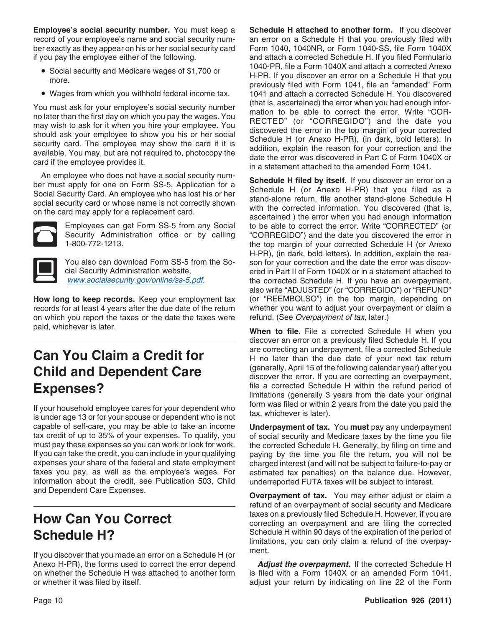**Employee's social security number.** You must keep a **Schedule H attached to another form.** If you discover record of your employee's name and social security num- an error on a Schedule H that you previously filed with ber exactly as they appear on his or her social security card Form 1040, 1040NR, or Form 1040-SS, file Form 1040X if you pay the employee either of the following. and attach a corrected Schedule H. If you filed Formulario

- 
- Wages from which you withhold federal income tax.





**How long to keep records.** Keep your employment tax (or "REEMBOLSO") in the top margin, depending on records for at least 4 years after the due date of the return whether you want to adjust your overpayment or claim a on which you report the taxes or the date the taxes were refund. (See Overpayment of tax, later.) paid, whichever is later. **When to file.** File a corrected Schedule H when you

capable of self-care, you may be able to take an income **Underpayment of tax.** You **must** pay any underpayment tax credit of up to 35% of your expenses. To qualify, you of social security and Medicare taxes by the time you file<br>must pay these expenses so you can work or look for work. the corrected Schedule H. Generally, by filing must pay these expenses so you can work or look for work. the corrected Schedule H. Generally, by filing on time and<br>If you can take the credit, you can include in your qualifying paying by the time you file the return, yo If you can take the credit, you can include in your qualifying paying by the time you file the return, you will not be expenses your share of the federal and state employment charged interest (and will not be subject to fa expenses your share of the federal and state employment charged interest (and will not be subject to failure-to-pay or information about the credit, see Publication 503, Child underreported FUTA taxes will be subject to interest.

ment. If you discover that you made an error on a Schedule H (or Anexo H-PR), the forms used to correct the error depend *Adjust the overpayment.* If the corrected Schedule H on whether the Schedule H was attached to another form is filed with a Form 1040X or an amended Form 1041, or whether it was filed by itself. The state of the Torm adjust your return by indicating on line 22 of the Form

• Social security and Medicare wages of \$1,700 or 1040-PR, file a Form 1040X and attach a corrected Anexo<br>H-PR. If you discover an error on a Schedule H that you more.<br>Both and Medicare wages of the Medicare wages of the Medicare Medicare H that you more. previously filed with Form 1041, file an "amended" Form 1041 and attach a corrected Schedule H. You discovered You must ask for your employee's social security number<br>
mation to be able to correct the error. Write "COR-<br>
may wish to ask for it when you hire your employee. You<br>
should ask your employee to show you his or her social<br>

An employee who does not have a social security number<br>ber must apply for one on Form SS-5, Application for a<br>Social Security Card. An employee who has lost his or her<br>social security card or whose name is not correctly sh Employees can get Form SS-5 from any Social to be able to correct the error. Write "CORRECTED" (or Security Administration office or by calling "CORREGIDO") and the date you discovered the error in Security Administration office or by calling "CORREGIDO") and the date you discovered the error in the top margin of your corrected Schedule H (or Anexo H-PR), (in dark, bold letters). In addition, explain the rea-You also can download Form SS-5 from the So- son for your correction and the date the error was discovcial Security Administration website, ered in Part II of Form 1040X or in a statement attached to www.socialsecurity.gov/online/ss-5.pdf. the corrected Schedule H. If you have an overpayment, also write "ADJUSTED" (or "CORREGIDO") or "REFUND"

discover an error on a previously filed Schedule H. If you **Can You Claim a Credit for** are correcting an underpayment, file a corrected Schedule<br>
H no later than the due date of your next tax return **Child and Dependent Care** (generally, April 15 of the following calendar year) after you discover the error. If you are correcting an overpayment, **Expenses? Expenses Expenses Expenses Expenses EXPENSES EXPENSES EXPENSES EXPENSES EXPENSES EXPENSES EXPENSES EXPENSES EXPENSES EXPENSES EXPENSES EXPENSES EXPENSES EXPENSES EXPENSES** If your household employee cares for your dependent who<br>If your household employee cares for your dependent who is not tax, whichever is later).

estimated tax penalties) on the balance due. However,

and Dependent Care Expenses. **Overpayment of tax.** You may either adjust or claim a refund of an overpayment of social security and Medicare **How Can You Correct How Can You Correct How Can You Are** *correcting an overpayment and are filing the corrected* **corrected Schedule H?** Schedule H within 90 days of the expiration of the period of the period of the period of the overpay-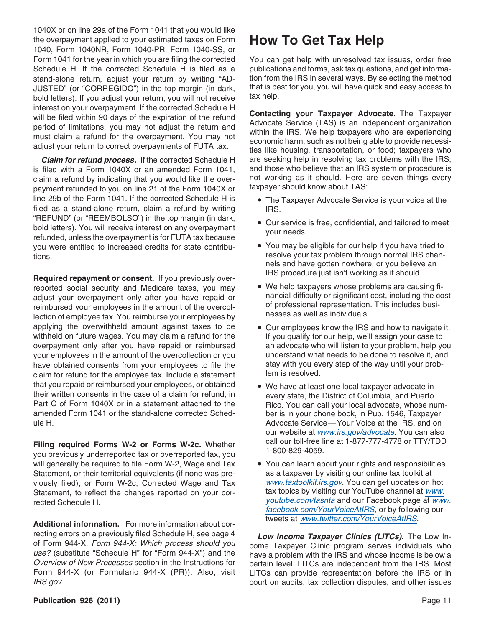1040X or on line 29a of the Form 1041 that you would like the overpayment applied to your estimated taxes on Form **How To Get Tax Help** 1040, Form 1040NR, Form 1040-PR, Form 1040-SS, or Form 1041 for the year in which you are filing the corrected You can get help with unresolved tax issues, order free Schedule H. If the corrected Schedule H is filed as a publications and forms, ask tax questions, and get informastand-alone return, adjust your return by writing "AD-<br>JUSTED" (or "CORREGIDO") in the top margin (in dark. that is best for you, you will have quick and easy access to JUSTED" (or "CORREGIDO") in the top margin (in dark, that is be<br>bold letters), If you adjust your return you will not receive tax help. bold letters). If you adjust your return, you will not receive interest on your overpayment. If the corrected Schedule H<br>will be filed within 90 days of the expiration of the refund<br>period of limitations, you may not adjust the return and<br>must claim a refund for the overpayment. You m

is filed with a Form 1040X or an amended Form 1041, and those who believe that an IRS system or procedure is claim a refund by indicating that you would like the over- not working as it should. Here are seven things every claim a refund by indicating that you would like the over- not working as it should. Here are seven that is now a should know about TAS: payment refunded to you on line 21 of the Form 1040X or line 29b of the Form 1041. If the corrected Schedule H is •filed as a stand-alone return, claim a refund by writing **IRS.** "REFUND" (or "REEMBOLSO") in the top margin (in dark, •bold letters). You will receive interest on any overpayment<br>refunded, unless the overpayment is for FUTA tax because<br>your needs.<br>You were entitled to increased credits for state contribu-<br>You may be eligible for our help i you were entitled to increased credits for state contriburesolve your tax problem through normal IRS chan- tions.

IRS procedure just isn't working as it should.<br>**Required repayment or consent.** If you previously over-<br>**Required repayment or consent.** If you previously over-<br>**We help taxpayers whose problems are causing fi**reported social security and Medicare taxes, you may  $\bullet$  We help taxpayers whose problems are causing fi-<br>adjust your overpayment only after you have repaid or and alifficulty or significant cost, including the cost adjust your overpayment only after you have repaid or nancial difficulty or significant cost, including the co<br>reimbursed your employees in the amount of the overcol- of professional representation. This includes busireimbursed your employees in the amount of the overcol-<br>lection of employee tax. You reimburse your employees by nesses as well as individuals. applying the overwithheld amount against taxes to be • Our employees know the IRS and how to navigate it. withheld on future wages. You may claim a refund for the If you qualify for our help, we'll assign your case to overpayment only after you have repaid or reimbursed an advocate who will listen to your problem, help you your employees in the amount of the overcollection or you understand what needs to be done to resolve it, and have obtained consents from your employees to file the stay with you every step of the way until your prob-<br>claim for refund for the employee tax loclude a statement lem is resolved. claim for refund for the employee tax. Include a statement that you repaid or reimbursed your employees, or obtained  $\bullet\,$  We have at least one local taxpayer advocate in their written consents in the case of a claim for refund, in every state, the District of Columbia, and Puerto<br>Part C of Form 1040X or in a statement attached to the Rico You can call your local advocate whose nu Part C of Form 1040X or in a statement attached to the Fico. You can call your local advocate, whose num-<br>Amended Form 1041 or the stand-alone corrected Sched-Figure is in your phone book, in Pub, 1546, Taxpayer ule H. Advocate Service—Your Voice at the IRS, and on

you previously underreported tax or overreported tax, you will generally be required to file Form W-2, Wage and Tax • You can learn about your rights and responsibilities Statement, or their territorial equivalents (if none was pre- as a taxpayer by visiting our online tax toolkit at viously filed), or Form W-2c, Corrected Wage and Tax www.taxtoolkit.irs.gov. You can get updates on hot<br>Statement, to reflect the changes reported on your cor-<br>ax topics by visiting our YouTube channel at www. Statement, to reflect the changes reported on your coryoutube.com/tasnta and our Facebook page at www. rected Schedule H.

tweets at www.twitter.com/YourVoiceAtIRS. **Additional information.** For more information about correcting errors on a previously filed Schedule H, see page 4 *Low Income Taxpayer Clinics (LITCs)*. The Low In-<br>of Form 944-X, *Form 944-X: Which process should you* come Taxpayer Clinic program serves individuals who of Form 944-X, Form 944-X: Which process should you<br>use? (substitute "Schedule H" for "Form 944-X") and the have a problem with the IRS and whose income is below a<br>Overview of New Processes section in the Instructions for Form 944-X (or Formulario 944-X (PR)). Also, visit LITCs can provide representation before the IRS or in IRS.gov. **IRS.gov.** COUNTER 18 All the court on audits, tax collection disputes, and other issues

*Claim for refund process.* If the corrected Schedule H are seeking help in resolving tax problems with the IRS;<br>filed with a Form 1040X or an amended Form 1041. and those who believe that an IRS system or procedure is

- The Taxpayer Advocate Service is your voice at the
- 
- nels and have gotten nowhere, or you believe an
- 
- 
- ber is in your phone book, in Pub. 1546, Taxpayer our website at www.irs.gov/advocate. You can also Filing required Forms W-2 or Forms W-2c. Whether call our toll-free line at 1-877-777-4778 or TTY/TDD call our property of the second of the second that the second the second the second the second the second the second the
	- facebook.com/YourVoiceAtIRS, or by following our

certain level. LITCs are independent from the IRS. Most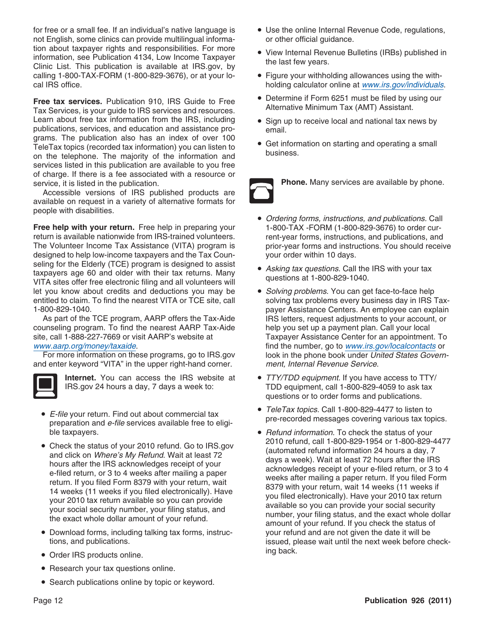for free or a small fee. If an individual's native language is • Use the online Internal Revenue Code, regulations, not English, some clinics can provide multilingual informa- or other official guidance. tion about taxpayer rights and responsibilities. For more<br>
• View Internal Revenue Bulletins (IRBs) published in information, see Publication 4134, Low Income Taxpayer<br>Clinic List. This publication is available at IRS.gov, by the last few years. calling 1-800-TAX-FORM (1-800-829-3676), or at your lo- • Figure your withholding allowances using the withcal IRS office. holding calculator online at www.irs.gov/individuals.

**Free tax services.** Publication 910, IRS Guide to Free **The Publication out alternative Minimum Tax (AMT)** Assistant. Tax Services, is your guide to IRS services and resources. Alternative Minimum Tax (AMT) Assistant. Learn about free tax information from the IRS, including • Sign up to receive local and national tax news by publications, services, and education and assistance pro-<br>
email. grams. The publication also has an index of over 100<br>TeleTax topics (recorded tax information) you can listen to  $\bullet$  Get information on starting and operating a small For tax topics (recorded tax information) you can listen to business.<br>on the telephone. The majority of the information and services listed in this publication are available to you free of charge. If there is a fee associated with a resource or service, it is listed in the publication. **Phone. Phone.** Many services are available by phone.

Accessible versions of IRS published products are available on request in a variety of alternative formats for people with disabilities.

**Free help with your return.** Free help in preparing your 1-800-TAX -FORM (1-800-829-3676) to order curreturn is available nationwide from IRS-trained volunteers. The rent-year forms, instructions, and publications, and The Volunteer Income Tax Assistance (VITA) program is prior-year forms and instructions. You should receive designed to help low-income taxpayers and the Tax Coun- your order within 10 days. seling for the Elderly (TCE) program is designed to assist <br> **•** Asking tax questions. Call the IRS with your tax<br> **•** Asking tax questions. Call the IRS with your tax taxpayers age 60 and older with their tax returns. Many **Example and only all of the VITA** sites offer free electronic filing and all volunteers will questions at 1-800-829-1040. let you know about credits and deductions you may be • Solving problems. You can get face-to-face help entitled to claim. To find the nearest VITA or TCE site, call solving tax problems every business day in IRS Tax-1-800-829-1040. payer Assistance Centers. An employee can explain

As part of the TCE program, AARP offers the Tax-Aide IRS letters, request adjustments to your account, or counseling program. To find the nearest AARP Tax-Aide help you set up a payment plan. Call your local site, call 1-888-227-7669 or visit AARP's website at Taxpayer Assistance Center for an appointment. To www.aarp.org/money/taxaide. find the number, go to www.irs.gov/localcontacts or

For more information on these programs, go to IRS.gov look in the phone book under United States Governand enter keyword "VITA" in the upper right-hand corner. ment, Internal Revenue Service.



**Internet.** You can access the IRS website at •

- E-file your return. Find out about commercial tax pre-recorded messages covering various tax topics.<br>pre-recorded messages covering various tax topics. ble taxpayers. • Refund information. To check the status of your
- 
- Download forms, including talking tax forms, instruc- your refund and are not given the date it will be
- ing back. Order IRS products online.
- Research your tax questions online.
- Search publications online by topic or keyword.
- 
- 
- 
- Determine if Form 6251 must be filed by using our
- 
- 



- Ordering forms, instructions, and publications. Call
- 
- 
- TTY/TDD equipment. If you have access to TTY/ IRS.gov 24 hours a day, 7 days a week to: TDD equipment, call 1-800-829-4059 to ask tax questions or to order forms and publications.
- $\bullet$  F-file your return. Find out about commercial tax  $\bullet$  TeleTax topics. Call 1-800-829-4477 to listen to
- Check the status of your 2010 refund. Go to IRS.gov 2010 refund, call 1-800-829-1954 or 1-800-829-4477<br>(automated refund information 24 hours a day, 7) and eliginal Marine Meit at least 70 • Check the status of your 2010 refund. Go to IRS.gov<br>
and click on *Where's My Refund*. Wait at least 72<br>
hours after the IRS acknowledges receipt of your<br>
e-filed return, or 3 to 4 weeks after mailing a paper<br>
return. If tions, and publications. issued, please wait until the next week before check-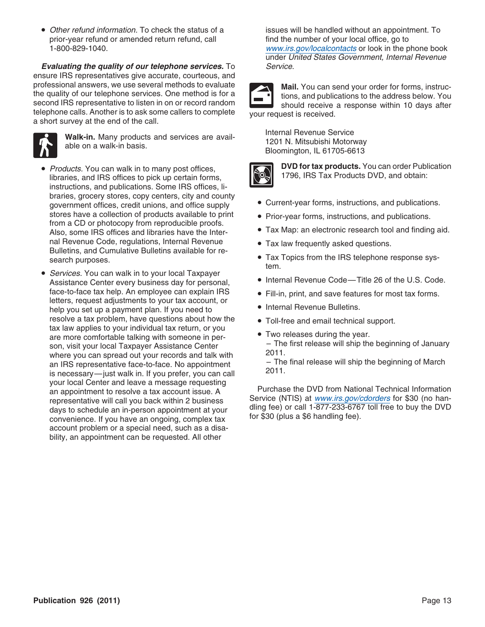• Other refund information. To check the status of a prior-year refund or amended return refund, call find the number of your local office, go to

*Evaluating the quality of our telephone services.* **To Service.** ensure IRS representatives give accurate, courteous, and professional answers, we use several methods to evaluate<br>the quality of our telephone services. One method is for a<br>second IRS representative to listen in on or record random<br>telephone calls. Another is to ask some callers



**Walk-in.** Many products and services are avail-<br>
able on a walk-in basis.<br>
Bloomington, IL 61705-6613

- Products. You can walk in to many post offices, **INCON DVD for tax products.** You can order Publication  $\blacksquare$  1796, IRS Tax Products DVD, and obtain: libraries,  $\blacksquare$  1796, IRS Tax Products DVD, and obtain: instructions, and publications. Some IRS offices, libraries, grocery stores, copy centers, city and county government offices, credit unions, and office supply stores have a collection of products available to print • Prior-year forms, instructions, and publications. from a CD or photocopy from reproducible proofs.<br>Also some IRS offices and libraries have the Inter-<br>**Example 2** Tax Map: an electronic research tool and finding aid. Also, some IRS offices and libraries have the Internal Revenue Code, regulations, Internal Revenue • Tax law frequently asked questions. Bulletins, and Cumulative Bulletins available for re-
- • Services. You can walk in to your local Taxpayer Assistance Center every business day for personal, **•** Internal Revenue Code—Title 26 of the U.S. Code. face-to-face tax help. An employee can explain IRS • Fill-in, print, and save features for most tax forms. letters, request adjustments to your tax account, or help you set up a payment plan. If you need to resolve a tax problem, have questions about how the • Toll-free and email technical support. tax law applies to your individual tax return, or you where you can spread out your records and talk with  $\frac{2011}{\pi}$  The final release will ship the beginning of March an IRS representative face-to-face. No appointment and Taure is necessary—just walk in. If you prefer, you can call your local Center and leave a message requesting<br>an appointment to resolve a tax account issue. A<br>representative will call you back within 2 business<br>days to schedule an in-person appointment at your<br>ding fee) or call 1-87 days to schedule an in-person appointment at your dling fee) or call 1-877-233-676.<br>Convenience If you have an ongoing complex tax for \$30 (plus a \$6 handling fee). convenience. If you have an ongoing, complex tax account problem or a special need, such as a disability, an appointment can be requested. All other

issues will be handled without an appointment. To 1-800-829-1040. www.irs.gov/localcontacts or look in the phone book under United States Government, Internal Revenue



- Current-year forms, instructions, and publications.
- 
- 
- 
- Tax Topics from the IRS telephone response sys- search purposes. tem.
	-
	-
	- Internal Revenue Bulletins.
	-
- Two releases during the year. Two releases during the year.<br>
son, visit your local Taxpayer Assistance Center – The first release will ship the beginning of January<br>
where you can spread out your records and talk with 2011.
	-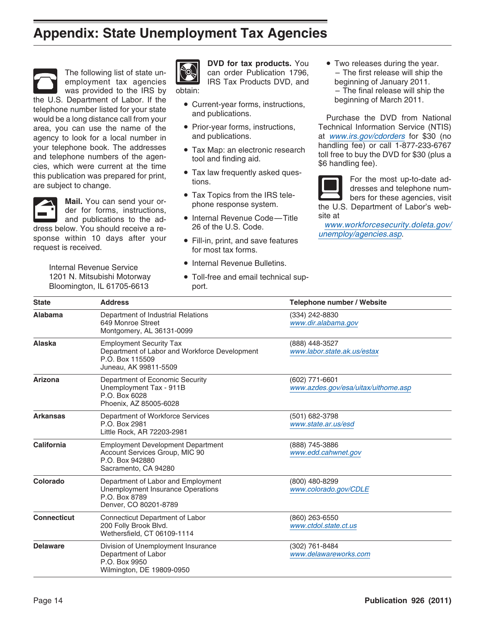# **Appendix: State Unemployment Tax Agencies**

employment tax agencies INCERT IRS Tax Products DVD, and beginning of January 2011.<br>was provided to the IRS by obtain: The final release will ship the U.S. Department of Labor. If the **beginning of March 2011.**<br> **beginning of March 2011.** telephone number listed for your state and publications, instructions,  $\frac{1}{2}$  Purchase the DVD from National would be a long distance call from your area, you can use the name of the • Prior-year forms, instructions, Technical Information Service (NTIS)<br>agency to look for a local number in and publications. at www.irs.gov/cdorders for \$30 (no agency to look for a local number in and publications. at www.irs.gov/cdorders for \$30 (no<br>vour telephone book. The addresses a Tay Man an electronic research handling fee) or call 1-877-233-6767 your telephone book. The addresses  $\bullet$  Tax Map: an electronic research handling fee) or call 1-877-233-6767 •<br>and telephone numbers of the agenand telephone numbers of the agen-<br>cies, which were current at the time<br> $\frac{1}{2}$  tool and finding aid.  $\frac{1}{2}$  and the see). Tax law frequently asked ques- this publication was prepared for print, For the most up-to-date ad- tions. are subject to change. dresses and telephone num-



**Mail.** You can send your or<br>der for forms, instructions,<br>and publications to the ad-<br>and publications to the ad-<br>and publications to the ad-<br>and publications to the ad-<br>and publications to the ad-<br>and publications to the

sponse within 10 days after your sponse within to days after your  $\bullet$  Fill-in, print, and save features request is received.

Internal Revenue Service Bloomington, IL 61705-6613 port.



- 
- 
- 
- Tax law frequently asked ques-
- Tax Topics from the IRS tele-
- 
- 
- Internal Revenue Bulletins.
- 1201 N. Mitsubishi Motorway Toll-free and email technical sup-

**DVD for tax products.** You • Two releases during the year. The following list of state un-  $\|\widehat{\mathbb{Q}}\|$  can order Publication 1796,  $\qquad$  – The first release will ship the obtain:  $-$  The final release will ship the



and publications to the ad-<br>dress below. You should receive a re-<br>cropse within 10 days after your and the U.S. Code.<br>and the U.S. Code.<br>inemploy/agencies.asp.

| <b>State</b>       | <b>Address</b>                                                                                                              | <b>Telephone number / Website</b>                     |
|--------------------|-----------------------------------------------------------------------------------------------------------------------------|-------------------------------------------------------|
| Alabama            | Department of Industrial Relations<br>649 Monroe Street<br>Montgomery, AL 36131-0099                                        | (334) 242-8830<br>www.dir.alabama.gov                 |
| Alaska             | <b>Employment Security Tax</b><br>Department of Labor and Workforce Development<br>P.O. Box 115509<br>Juneau, AK 99811-5509 | (888) 448-3527<br>www.labor.state.ak.us/estax         |
| Arizona            | Department of Economic Security<br>Unemployment Tax - 911B<br>P.O. Box 6028<br>Phoenix, AZ 85005-6028                       | (602) 771-6601<br>www.azdes.gov/esa/uitax/uithome.asp |
| <b>Arkansas</b>    | Department of Workforce Services<br>P.O. Box 2981<br>Little Rock, AR 72203-2981                                             | (501) 682-3798<br>www.state.ar.us/esd                 |
| California         | <b>Employment Development Department</b><br>Account Services Group, MIC 90<br>P.O. Box 942880<br>Sacramento, CA 94280       | (888) 745-3886<br>www.edd.cahwnet.gov                 |
| Colorado           | Department of Labor and Employment<br>Unemployment Insurance Operations<br>P.O. Box 8789<br>Denver, CO 80201-8789           | (800) 480-8299<br>www.colorado.gov/CDLE               |
| <b>Connecticut</b> | Connecticut Department of Labor<br>200 Folly Brook Blvd.<br>Wethersfield, CT 06109-1114                                     | (860) 263-6550<br>www.ctdol.state.ct.us               |
| <b>Delaware</b>    | Division of Unemployment Insurance<br>Department of Labor<br>P.O. Box 9950<br>Wilmington, DE 19809-0950                     | (302) 761-8484<br>www.delawareworks.com               |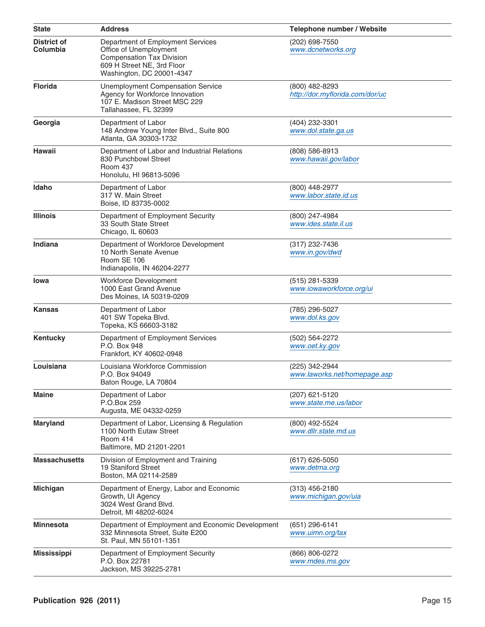| <b>State</b>                   | <b>Address</b>                                                                                                                                             | <b>Telephone number / Website</b>                 |
|--------------------------------|------------------------------------------------------------------------------------------------------------------------------------------------------------|---------------------------------------------------|
| District of<br><b>Columbia</b> | Department of Employment Services<br>Office of Unemployment<br><b>Compensation Tax Division</b><br>609 H Street NE, 3rd Floor<br>Washington, DC 20001-4347 | (202) 698-7550<br>www.dcnetworks.org              |
| <b>Florida</b>                 | <b>Unemployment Compensation Service</b><br>Agency for Workforce Innovation<br>107 E. Madison Street MSC 229<br>Tallahassee, FL 32399                      | (800) 482-8293<br>http://dor.myflorida.com/dor/uc |
| Georgia                        | Department of Labor<br>148 Andrew Young Inter Blvd., Suite 800<br>Atlanta, GA 30303-1732                                                                   | (404) 232-3301<br>www.dol.state.ga.us             |
| <b>Hawaii</b>                  | Department of Labor and Industrial Relations<br>830 Punchbowl Street<br><b>Room 437</b><br>Honolulu, HI 96813-5096                                         | (808) 586-8913<br>www.hawaii.gov/labor            |
| Idaho                          | Department of Labor<br>317 W. Main Street<br>Boise, ID 83735-0002                                                                                          | (800) 448-2977<br>www.labor.state.id.us           |
| <b>Illinois</b>                | Department of Employment Security<br>33 South State Street<br>Chicago, IL 60603                                                                            | (800) 247-4984<br>www.ides.state.il.us            |
| Indiana                        | Department of Workforce Development<br>10 North Senate Avenue<br>Room SE 106<br>Indianapolis, IN 46204-2277                                                | (317) 232-7436<br>www.in.gov/dwd                  |
| <b>lowa</b>                    | <b>Workforce Development</b><br>1000 East Grand Avenue<br>Des Moines, IA 50319-0209                                                                        | (515) 281-5339<br>www.iowaworkforce.org/ui        |
| <b>Kansas</b>                  | Department of Labor<br>401 SW Topeka Blvd.<br>Topeka, KS 66603-3182                                                                                        | (785) 296-5027<br>www.dol.ks.gov                  |
| <b>Kentucky</b>                | Department of Employment Services<br>P.O. Box 948<br>Frankfort, KY 40602-0948                                                                              | (502) 564-2272<br>www.oet.ky.gov                  |
| Louisiana                      | Louisiana Workforce Commission<br>P.O. Box 94049<br>Baton Rouge, LA 70804                                                                                  | (225) 342-2944<br>www.laworks.net/homepage.asp    |
| <b>Maine</b>                   | Department of Labor<br>P.O.Box 259<br>Augusta, ME 04332-0259                                                                                               | (207) 621-5120<br>www.state.me.us/labor           |
| <b>Maryland</b>                | Department of Labor, Licensing & Regulation<br>1100 North Eutaw Street<br><b>Room 414</b><br>Baltimore, MD 21201-2201                                      | (800) 492-5524<br>www.dllr.state.md.us            |
| <b>Massachusetts</b>           | Division of Employment and Training<br>19 Staniford Street<br>Boston, MA 02114-2589                                                                        | (617) 626-5050<br>www.detma.org                   |
| <b>Michigan</b>                | Department of Energy, Labor and Economic<br>Growth, UI Agency<br>3024 West Grand Blvd.<br>Detroit, MI 48202-6024                                           | (313) 456-2180<br>www.michigan.gov/uia            |
| <b>Minnesota</b>               | Department of Employment and Economic Development<br>332 Minnesota Street, Suite E200<br>St. Paul, MN 55101-1351                                           | (651) 296-6141<br>www.uimn.org/tax                |
| <b>Mississippi</b>             | Department of Employment Security<br>P.O. Box 22781<br>Jackson, MS 39225-2781                                                                              | (866) 806-0272<br>www.mdes.ms.gov                 |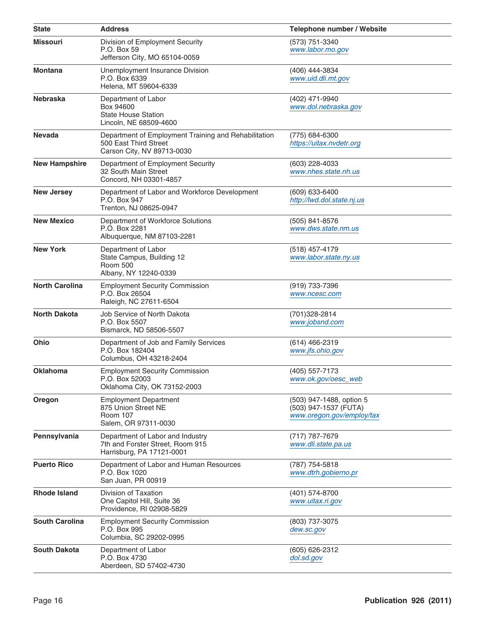| <b>State</b>          | <b>Address</b>                                                                                              | Telephone number / Website                                                     |
|-----------------------|-------------------------------------------------------------------------------------------------------------|--------------------------------------------------------------------------------|
| <b>Missouri</b>       | Division of Employment Security<br>P.O. Box 59<br>Jefferson City, MO 65104-0059                             | (573) 751-3340<br>www.labor.mo.gov                                             |
| <b>Montana</b>        | Unemployment Insurance Division<br>P.O. Box 6339<br>Helena, MT 59604-6339                                   | (406) 444-3834<br>www.uid.dli.mt.gov                                           |
| <b>Nebraska</b>       | Department of Labor<br>Box 94600<br><b>State House Station</b><br>Lincoln, NE 68509-4600                    | (402) 471-9940<br>www.dol.nebraska.gov                                         |
| <b>Nevada</b>         | Department of Employment Training and Rehabilitation<br>500 East Third Street<br>Carson City, NV 89713-0030 | (775) 684-6300<br>https://uitax.nvdetr.org                                     |
| <b>New Hampshire</b>  | Department of Employment Security<br>32 South Main Street<br>Concord, NH 03301-4857                         | (603) 228-4033<br>www.nhes.state.nh.us                                         |
| <b>New Jersey</b>     | Department of Labor and Workforce Development<br>P.O. Box 947<br>Trenton, NJ 08625-0947                     | (609) 633-6400<br>http://lwd.dol.state.nj.us                                   |
| <b>New Mexico</b>     | Department of Workforce Solutions<br>P.O. Box 2281<br>Albuquerque, NM 87103-2281                            | (505) 841-8576<br>www.dws.state.nm.us                                          |
| <b>New York</b>       | Department of Labor<br>State Campus, Building 12<br><b>Room 500</b><br>Albany, NY 12240-0339                | (518) 457-4179<br>www.labor.state.ny.us                                        |
| <b>North Carolina</b> | <b>Employment Security Commission</b><br>P.O. Box 26504<br>Raleigh, NC 27611-6504                           | (919) 733-7396<br>www.ncesc.com                                                |
| <b>North Dakota</b>   | Job Service of North Dakota<br>P.O. Box 5507<br>Bismarck, ND 58506-5507                                     | (701) 328-2814<br>www.jobsnd.com                                               |
| Ohio                  | Department of Job and Family Services<br>P.O. Box 182404<br>Columbus, OH 43218-2404                         | (614) 466-2319<br>www.jfs.ohio.gov                                             |
| <b>Oklahoma</b>       | <b>Employment Security Commission</b><br>P.O. Box 52003<br>Oklahoma City, OK 73152-2003                     | (405) 557-7173<br>www.ok.gov/oesc_web                                          |
| Oregon                | <b>Employment Department</b><br>875 Union Street NE<br><b>Room 107</b><br>Salem, OR 97311-0030              | (503) 947-1488, option 5<br>(503) 947-1537 (FUTA)<br>www.oregon.gov/employ/tax |
| Pennsylvania          | Department of Labor and Industry<br>7th and Forster Street, Room 915<br>Harrisburg, PA 17121-0001           | (717) 787-7679<br>www.dli.state.pa.us                                          |
| <b>Puerto Rico</b>    | Department of Labor and Human Resources<br>P.O. Box 1020<br>San Juan, PR 00919                              | (787) 754-5818<br>www.dtrh.gobierno.pr                                         |
| <b>Rhode Island</b>   | Division of Taxation<br>One Capitol Hill, Suite 36<br>Providence, RI 02908-5829                             | (401) 574-8700<br>www.uitax.ri.gov                                             |
| <b>South Carolina</b> | <b>Employment Security Commission</b><br>P.O. Box 995<br>Columbia, SC 29202-0995                            | (803) 737-3075<br>dew.sc.gov                                                   |
| <b>South Dakota</b>   | Department of Labor<br>P.O. Box 4730<br>Aberdeen, SD 57402-4730                                             | (605) 626-2312<br>dol.sd.gov                                                   |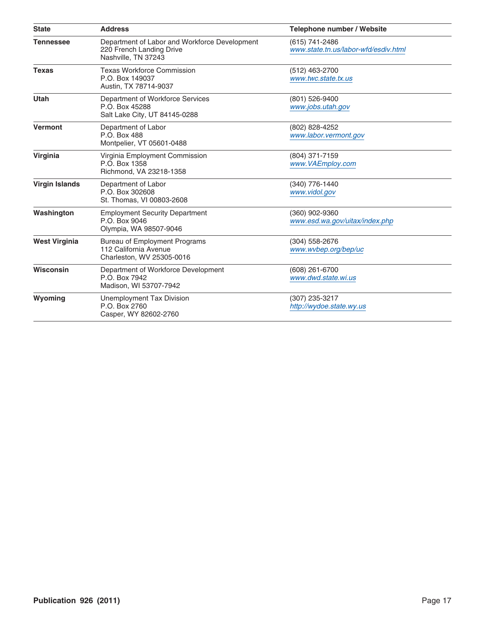| <b>State</b>          | <b>Address</b>                                                                                   | <b>Telephone number / Website</b>                      |
|-----------------------|--------------------------------------------------------------------------------------------------|--------------------------------------------------------|
| <b>Tennessee</b>      | Department of Labor and Workforce Development<br>220 French Landing Drive<br>Nashville, TN 37243 | (615) 741-2486<br>www.state.tn.us/labor-wfd/esdiv.html |
| <b>Texas</b>          | <b>Texas Workforce Commission</b><br>P.O. Box 149037<br>Austin, TX 78714-9037                    | (512) 463-2700<br>www.twc.state.tx.us                  |
| <b>Utah</b>           | Department of Workforce Services<br>P.O. Box 45288<br>Salt Lake City, UT 84145-0288              | (801) 526-9400<br>www.jobs.utah.gov                    |
| <b>Vermont</b>        | Department of Labor<br>P.O. Box 488<br>Montpelier, VT 05601-0488                                 | (802) 828-4252<br>www.labor.vermont.gov                |
| Virginia              | Virginia Employment Commission<br>P.O. Box 1358<br>Richmond, VA 23218-1358                       | (804) 371-7159<br>www.VAEmploy.com                     |
| <b>Virgin Islands</b> | Department of Labor<br>P.O. Box 302608<br>St. Thomas, VI 00803-2608                              | (340) 776-1440<br>www.vidol.gov                        |
| Washington            | <b>Employment Security Department</b><br>P.O. Box 9046<br>Olympia, WA 98507-9046                 | (360) 902-9360<br>www.esd.wa.gov/uitax/index.php       |
| <b>West Virginia</b>  | Bureau of Employment Programs<br>112 California Avenue<br>Charleston, WV 25305-0016              | (304) 558-2676<br>www.wvbep.org/bep/uc                 |
| Wisconsin             | Department of Workforce Development<br>P.O. Box 7942<br>Madison, WI 53707-7942                   | (608) 261-6700<br>www.dwd.state.wi.us                  |
| Wyoming               | Unemployment Tax Division<br>P.O. Box 2760<br>Casper, WY 82602-2760                              | (307) 235-3217<br>http://wydoe.state.wy.us             |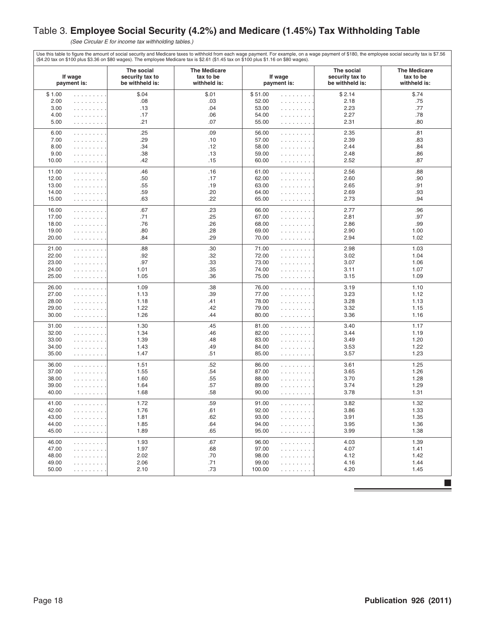# Table 3. **Employee Social Security (4.2%) and Medicare (1.45%) Tax Withholding Table**

(See Circular E for income tax withholding tables.)

Use this table to figure the amount of social security and Medicare taxes to withhold from each wage payment. For example, on a wage payment of \$180, the employee social security tax is \$7.56<br>(\$4.20 tax on \$100 plus \$3.36 **The social The Medicare The social The Medicare If wage**<br> **If wage**<br> **If wage**<br> **If wage**<br> **If wage**<br> **If wage**<br> **If wage**<br> **If wage**<br> **If wage**<br> **If wage**<br> **If wage**<br> **If wage**<br> **If we are to be withheld is:<br>
<b>If we are to be withheld is:<br>
<b>If we are to be withheld is payment is: be withheld is: withheld is: payment is: be withheld is: withheld is:** \$ 1.00 . . . . . . . . . \$.04 \$.01 \$ 51.00 . . . . . . . . . \$ 2.14 \$.74 2.00 . . . . . . . . . .08 .03 52.00 . . . . . . . . . 2.18 .75 3.00 . . . . . . . . . .13 .04 53.00 . . . . . . . . . 2.23 .77 4.00 . . . . . . . . . .17 .06 54.00 . . . . . . . . . 2.27 .78 5.00 . . . . . . . . . .21 .07 55.00 . . . . . . . . . 2.31 .80 6.00 . . . . . . . . . .25 .09 56.00 . . . . . . . . . 2.35 .81 7.00 . . . . . . . . . .29 .10 57.00 . . . . . . . . . 2.39 .83 8.00 . . . . . . . . . .34 .12 58.00 . . . . . . . . . 2.44 .84 9.00 . . . . . . . . . .38 .13 59.00 . . . . . . . . . 2.48 .86 10.00 . . . . . . . . . .42 .15 60.00 . . . . . . . . . 2.52 .87 11.00 . . . . . . . . . .46 .16 61.00 . . . . . . . . . 2.56 .88 12.00 . . . . . . . . . .50 .17 62.00 . . . . . . . . . 2.60 .90 13.00 . . . . . . . . . .55 .19 63.00 . . . . . . . . . 2.65 .91 14.00 . . . . . . . . . .59 .20 64.00 . . . . . . . . . 2.69 .93 15.00 . . . . . . . . . .63 .22 65.00 . . . . . . . . . 2.73 .94 16.00 . . . . . . . . . .67 .23 66.00 . . . . . . . . . 2.77 .96 17.00 . . . . . . . . . .71 .25 67.00 . . . . . . . . . 2.81 .97 18.00 . . . . . . . . . .76 .26 68.00 . . . . . . . . . 2.86 .99 19.00 . . . . . . . . . .80 .28 69.00 . . . . . . . . . 2.90 1.00 20.00 . . . . . . . . . .84 .29 70.00 . . . . . . . . . 2.94 1.02 21.00 . . . . . . . . . .88 .30 71.00 . . . . . . . . . 2.98 1.03 22.00 . . . . . . . . . .92 .32 72.00 . . . . . . . . . 3.02 1.04 23.00 . . . . . . . . . .97 .33 73.00 . . . . . . . . . 3.07 1.06 24.00 . . . . . . . . . 1.01 .35 74.00 . . . . . . . . . 3.11 1.07 25.00 . . . . . . . . . 1.05 .36 75.00 . . . . . . . . . 3.15 1.09 26.00 . . . . . . . . . 1.09 .38 76.00 . . . . . . . . . 3.19 1.10 27.00 . . . . . . . . . 1.13 .39 77.00 . . . . . . . . . 3.23 1.12 28.00 . . . . . . . . . 1.18 .41 78.00 . . . . . . . . . 3.28 1.13 29.00 . . . . . . . . . 1.22 .42 79.00 . . . . . . . . . 3.32 1.15 30.00 . . . . . . . . . 1.26 .44 80.00 . . . . . . . . . 3.36 1.16 31.00 . . . . . . . . . 1.30 .45 81.00 . . . . . . . . . 3.40 1.17 32.00 . . . . . . . . . 1.34 .46 82.00 . . . . . . . . . 3.44 1.19 33.00 . . . . . . . . . 1.39 .48 83.00 . . . . . . . . . 3.49 1.20 34.00 . . . . . . . . . 1.43 .49 84.00 . . . . . . . . . 3.53 1.22 35.00 . . . . . . . . . 1.47 .51 85.00 . . . . . . . . . 3.57 1.23 36.00 . . . . . . . . . 1.51 .52 86.00 . . . . . . . . . 3.61 1.25 37.00 . . . . . . . . . 1.55 .54 87.00 . . . . . . . . . 3.65 1.26 38.00 . . . . . . . . . 1.60 .55 88.00 . . . . . . . . . 3.70 1.28 39.00 . . . . . . . . . 1.64 .57 89.00 . . . . . . . . . 3.74 1.29 40.00 . . . . . . . . . 1.68 .58 90.00 . . . . . . . . . 3.78 1.31 41.00 . . . . . . . . . 1.72 .59 91.00 . . . . . . . . . 3.82 1.32 42.00 . . . . . . . . . 1.76 .61 92.00 . . . . . . . . . 3.86 1.33 43.00 . . . . . . . . . 1.81 .62 93.00 . . . . . . . . . 3.91 1.35 44.00 . . . . . . . . . 1.85 .64 94.00 . . . . . . . . . 3.95 1.36 45.00 . . . . . . . . . 1.89 .65 95.00 . . . . . . . . . 3.99 1.38 46.00 . . . . . . . . . 1.93 .67 96.00 . . . . . . . . . 4.03 1.39 47.00 . . . . . . . . . 1.97 .68 97.00 . . . . . . . . . 4.07 1.41 48.00 . . . . . . . . . 2.02 .70 98.00 . . . . . . . . . 4.12 1.42 49.00 . . . . . . . . . 2.06 .71 99.00 . . . . . . . . . 4.16 1.44 50.00 . . . . . . . . . 2.10 .73 100.00 . . . . . . . . . 4.20 1.45

■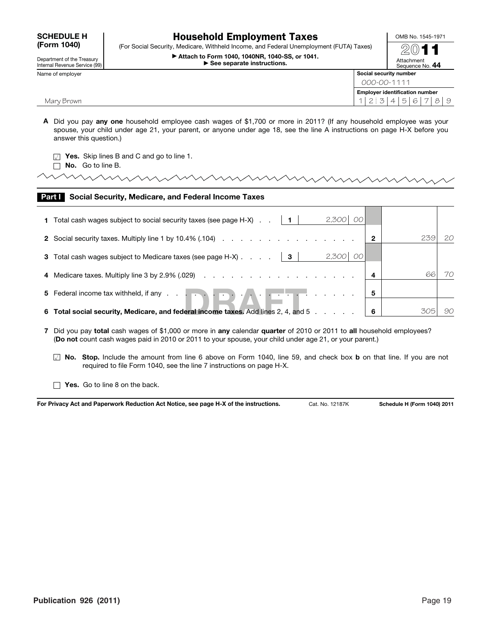### **SCHEDULE H (Form 1040)**

## **Household Employment Taxes**

(For Social Security, Medicare, Withheld Income, and Federal Unemployment (FUTA) Taxes)

OMB No. 1545-1971 20∩<del>1</del>

| Department of the Treasury<br>Internal Revenue Service (99) | Attach to Form 1040, 1040NR, 1040-SS, or 1041.<br>$\triangleright$ See separate instructions. | 49 I I<br>Attachment<br>Sequence No. 44 |
|-------------------------------------------------------------|-----------------------------------------------------------------------------------------------|-----------------------------------------|
| Name of employer                                            |                                                                                               | Social security number                  |
|                                                             |                                                                                               | 000-00-1111                             |
|                                                             |                                                                                               | <b>Employer identification number</b>   |
| Mary Brown                                                  |                                                                                               | 123456789                               |

- **A** Did you pay **any one** household employee cash wages of \$1,700 or more in 2011? (If any household employee was your spouse, your child under age 21, your parent, or anyone under age 18, see the line A instructions on page H-X before you answer this question.)
	- **Yes.** Skip lines B and C and go to line 1. √
- **No.** Go to line B.

 $\vee \wedge \wedge$ 

## **Part I** Social Security, Medicare, and Federal Income Taxes

| 2,300 00<br>1 Total cash wages subject to social security taxes (see page H-X) $\blacksquare$ .                                                                                                                                |     |    |
|--------------------------------------------------------------------------------------------------------------------------------------------------------------------------------------------------------------------------------|-----|----|
| 2 Social security taxes. Multiply line 1 by 10.4% (.104) $\ldots$ 2                                                                                                                                                            | 239 | 20 |
| 2,300 00<br>3 Total cash wages subject to Medicare taxes (see page H-X) $\ldots$ $\ldots$   3                                                                                                                                  |     |    |
|                                                                                                                                                                                                                                | 66  |    |
| 5 Federal income tax withheld, if any with the contract of the contract of the contract of the contract of the contract of the contract of the contract of the contract of the contract of the contract of the contract of the |     |    |
|                                                                                                                                                                                                                                | 305 |    |

- **7** Did you pay **total** cash wages of \$1,000 or more in **any** calendar **quarter** of 2010 or 2011 to **all** household employees? (**Do not** count cash wages paid in 2010 or 2011 to your spouse, your child under age 21, or your parent.)
	- **No. Stop.** Include the amount from line 6 above on Form 1040, line 59, and check box **b** on that line. If you are not √ required to file Form 1040, see the line 7 instructions on page H-X.

**Yes.** Go to line 8 on the back.

**For Privacy Act and Paperwork Reduction Act Notice, see page H-X of the instructions.** Cat. No. 12187K **Schedule H (Form 1040) 2011**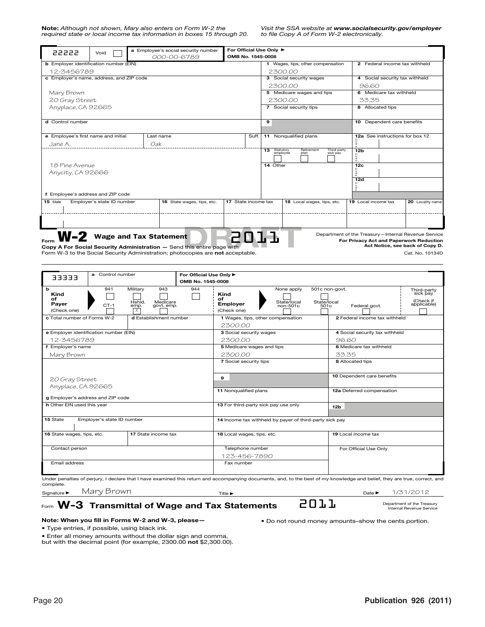**Note:** Although not shown, Mary also enters on Form W-2 the required state or local income tax information in boxes 15 through 20.

Visit the SSA website at *www.socialsecurity.gov/employer* to file Copy A of Form W-2 electronically.

| 22222<br>Void                                                                                                                                             | a Employee's social security number | For Official Use Only ▶ |          |                                          |                                   |                     |                                 |                  |
|-----------------------------------------------------------------------------------------------------------------------------------------------------------|-------------------------------------|-------------------------|----------|------------------------------------------|-----------------------------------|---------------------|---------------------------------|------------------|
|                                                                                                                                                           | 000-00-6789                         | OMB No. 1545-0008       |          |                                          |                                   |                     |                                 |                  |
| <b>b</b> Employer identification number (EIN)                                                                                                             |                                     |                         |          |                                          | 1 Wages, tips, other compensation |                     | 2 Federal income tax withheld   |                  |
| 12-3456789                                                                                                                                                |                                     |                         |          |                                          | 2300.00                           |                     |                                 |                  |
| c Employer's name, address, and ZIP code                                                                                                                  |                                     |                         |          |                                          | 3 Social security wages           |                     | 4 Social security tax withheld  |                  |
|                                                                                                                                                           |                                     |                         |          |                                          | 2300.00                           | 9660                |                                 |                  |
| Mary Brown                                                                                                                                                |                                     |                         |          | 5 Medicare wages and tips                |                                   |                     | 6 Medicare tax withheld         |                  |
| 20 Gray Street                                                                                                                                            |                                     |                         |          |                                          | 2300.00                           | 33.35               |                                 |                  |
| Anyplace, CA 92665                                                                                                                                        |                                     |                         |          |                                          | 7 Social security tips            |                     | 8 Allocated tips                |                  |
|                                                                                                                                                           |                                     |                         |          |                                          |                                   |                     |                                 |                  |
| d Control number                                                                                                                                          |                                     |                         |          | 9                                        |                                   |                     | 10 Dependent care benefits      |                  |
|                                                                                                                                                           |                                     |                         |          |                                          |                                   |                     |                                 |                  |
| e Employee's first name and initial                                                                                                                       | Last name                           |                         | Suff.    |                                          | 11 Nonqualified plans             |                     | 12a See instructions for box 12 |                  |
| Jane A.                                                                                                                                                   | Oak                                 |                         |          |                                          | Retirement                        | $\frac{0}{d}$       |                                 |                  |
|                                                                                                                                                           |                                     |                         |          | Statutory<br>$\overline{13}$<br>emplovee | Third-party<br>plan<br>sick pay   | 12 <sub>b</sub>     |                                 |                  |
|                                                                                                                                                           |                                     |                         |          |                                          |                                   | $\frac{0}{1}$       |                                 |                  |
| 18 Pine Avenue                                                                                                                                            |                                     |                         | 14 Other |                                          | 12 <sub>c</sub>                   |                     |                                 |                  |
| Anycity, CA 92666                                                                                                                                         |                                     |                         |          |                                          | 12d                               |                     |                                 |                  |
|                                                                                                                                                           |                                     |                         |          |                                          |                                   | å                   |                                 |                  |
|                                                                                                                                                           |                                     |                         |          |                                          |                                   |                     |                                 |                  |
| f Employee's address and ZIP code<br>Employer's state ID number<br>15 State                                                                               | 16 State wages, tips, etc.          | 17 State income tax     |          |                                          | 18 Local wages, tips, etc.        | 19 Local income tax |                                 | 20 Locality name |
|                                                                                                                                                           |                                     |                         |          |                                          |                                   |                     |                                 |                  |
|                                                                                                                                                           |                                     |                         |          |                                          |                                   |                     |                                 |                  |
|                                                                                                                                                           |                                     |                         |          |                                          |                                   |                     |                                 |                  |
|                                                                                                                                                           |                                     |                         |          |                                          |                                   |                     |                                 |                  |
| 5017<br>Department of the Treasury-Internal Revenue Service<br>$W-2$<br><b>Wage and Tax Statement</b>                                                     |                                     |                         |          |                                          |                                   |                     |                                 |                  |
| For Privacy Act and Paperwork Reduction<br>Act Notice, see back of Copy D.                                                                                |                                     |                         |          |                                          |                                   |                     |                                 |                  |
| Copy A For Social Security Administration - Send this entire page with<br>Form W-3 to the Social Security Administration; photocopies are not acceptable. |                                     |                         |          |                                          |                                   |                     |                                 | Cat. No. 10134D  |

|                                         | a Control number                                 |                                              |                                                                                                                |                                                                                                                                                                                          |
|-----------------------------------------|--------------------------------------------------|----------------------------------------------|----------------------------------------------------------------------------------------------------------------|------------------------------------------------------------------------------------------------------------------------------------------------------------------------------------------|
| 33333                                   |                                                  | For Official Use Only ▶<br>OMB No. 1545-0008 |                                                                                                                |                                                                                                                                                                                          |
| b<br>Kind<br>οf<br>Payer<br>(Check one) | 941<br>Military<br>Hshid.<br>$CT-1$<br>emp.<br>X | 943<br>944<br>Medicare<br>govt. emp.         | None apply<br>Kind<br>οf<br>State/local<br>State/local<br><b>Employer</b><br>$non-501c$<br>501c<br>(Check one) | 501c non-govt.<br>Third-party<br>sick pay<br>(Check if<br>applicable)<br>Federal govt.                                                                                                   |
| c Total number of Forms W-2             |                                                  | d Establishment number                       | 1 Wages, tips, other compensation                                                                              | 2 Federal income tax withheld                                                                                                                                                            |
|                                         |                                                  |                                              | 2300.00                                                                                                        |                                                                                                                                                                                          |
|                                         | e Employer identification number (EIN)           |                                              | 3 Social security wages                                                                                        | 4 Social security tax withheld                                                                                                                                                           |
| 12-3456789                              |                                                  |                                              | 2300.00                                                                                                        | 96.60                                                                                                                                                                                    |
| f Employer's name                       |                                                  |                                              | 5 Medicare wages and tips                                                                                      | 6 Medicare tax withheld                                                                                                                                                                  |
| Mary Brown                              |                                                  |                                              | 2300.00                                                                                                        | 33.35                                                                                                                                                                                    |
|                                         |                                                  |                                              | 7 Social security tips                                                                                         | 8 Allocated tips                                                                                                                                                                         |
| 20 Gray Street                          |                                                  |                                              | 9                                                                                                              | 10 Dependent care benefits                                                                                                                                                               |
| Anyplace, CA 92665                      |                                                  |                                              | 11 Nonqualified plans                                                                                          | 12a Deferred compensation                                                                                                                                                                |
| g Employer's address and ZIP code       |                                                  |                                              |                                                                                                                |                                                                                                                                                                                          |
| h Other EIN used this year              |                                                  |                                              | 13 For third-party sick pay use only                                                                           | 12 <sub>b</sub>                                                                                                                                                                          |
| 15 State                                | Employer's state ID number                       |                                              | 14 Income tax withheld by payer of third-party sick pay                                                        |                                                                                                                                                                                          |
| 16 State wages, tips, etc.              |                                                  | 17 State income tax                          | 18 Local wages, tips, etc.                                                                                     | 19 Local income tax                                                                                                                                                                      |
| Contact person                          |                                                  |                                              | Telephone number                                                                                               | For Official Use Only                                                                                                                                                                    |
|                                         |                                                  |                                              | 123-456-7890                                                                                                   |                                                                                                                                                                                          |
| Email address                           |                                                  |                                              | Fax number                                                                                                     |                                                                                                                                                                                          |
| complete.                               | Mary Brown                                       |                                              |                                                                                                                | Under penalties of perjury, I declare that I have examined this return and accompanying documents, and, to the best of my knowledge and belief, they are true, correct, and<br>1/31/2012 |
| Signature $\blacktriangleright$         |                                                  |                                              | Title $\blacktriangleright$                                                                                    | Date $\blacktriangleright$                                                                                                                                                               |

**Form W-3 Transmittal of Wage and Tax Statements 2011** 

Department of the Treasury<br>Internal Revenue Service • Do not round money amounts–show the cents portion.

**Note: When you fill in Forms W-2 and W-3, please—** • Type entries, if possible, using black ink.

• Enter all money amounts without the dollar sign and comma,

but with the decimal point (for example, 2300.00 **not** \$2,300.00).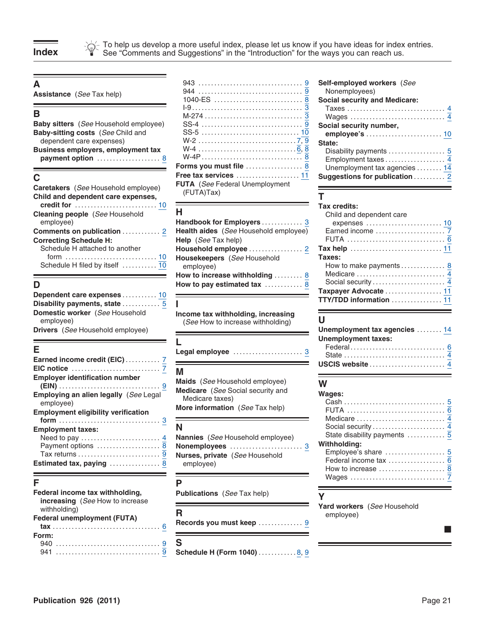To help us develop a more useful index, please let us know if you have ideas for index entries. **Index** See "Comments and Suggestions" in the "Introduction" for the ways you can reach us.<br> **Index** See "Comments and Suggestions" in the "Introduction" for the ways you can reach us.

| <b>Baby sitters</b> (See Household employee) |
|----------------------------------------------|
| <b>Baby-sitting costs</b> (See Child and     |
| dependent care expenses)                     |
| Business employers, employment tax           |
| payment option  8                            |
|                                              |

| Caretakers (See Household employee)<br>Child and dependent care expenses, | <b>FUTA</b> (See Federal Unemployment<br>(FUTA)Tax) |                          |
|---------------------------------------------------------------------------|-----------------------------------------------------|--------------------------|
|                                                                           |                                                     | Tax credits:             |
| <b>Cleaning people</b> (See Household                                     |                                                     | Child and dependent care |
| employee)                                                                 | Handbook for Employers 3                            | expenses                 |
|                                                                           | Health aides (See Household employee)               | Earned income            |
| <b>Correcting Schedule H:</b>                                             | Help (See Tax help)                                 | FUTA                     |
| Schedule H attached to another                                            |                                                     | Tax help                 |
|                                                                           | Housekeepers (See Household                         | Taxes:                   |
| Schedule H filed by itself  10                                            | emplovee)                                           | How to make payments     |

|                                             | the contract of the contract of the contract of                         |                               |
|---------------------------------------------|-------------------------------------------------------------------------|-------------------------------|
|                                             |                                                                         | <b>TTY/TDD information</b> 11 |
| Domestic worker (See Household<br>employee) | Income tax withholding, increasing<br>(See How to increase withholding) |                               |
| <b>Drivers</b> (See Household employee)     |                                                                         | Unemployment tax agencies  14 |

| <b>Employer identification number</b><br>Employing an alien legally (See Legal<br>employee)   | M<br>Maids (See Household employee)<br><b>Medicare</b> (See Social security and<br>Medicare taxes)<br>More information (See Tax help) | W<br>Wages:                                  |
|-----------------------------------------------------------------------------------------------|---------------------------------------------------------------------------------------------------------------------------------------|----------------------------------------------|
| <b>Employment eligibility verification</b><br><b>Employment taxes:</b>                        |                                                                                                                                       |                                              |
| Payment options  8<br>Tax returns $\ldots \ldots \ldots \ldots \ldots \ldots \ldots \ldots 9$ | <b>Nannies</b> (See Household employee)<br>Nurses, private (See Household                                                             | State disability payments  5<br>Withholding: |
| Estimated tax, paying  8                                                                      | employee)                                                                                                                             | How to increase                              |

| Federal income tax withholding,    |    |
|------------------------------------|----|
| increasing (See How to increase    | ÷  |
| withholding)                       | R  |
| <b>Federal unemployment (FUTA)</b> | R  |
|                                    |    |
| Form:                              | ۰  |
|                                    | S  |
| 941                                | S, |
|                                    |    |

| А<br><b>Assistance</b> (See Tax help)                                                  |                                                                               | Self-employed workers (See<br>Nonemployees)<br><b>Social security and Medicare:</b>     |
|----------------------------------------------------------------------------------------|-------------------------------------------------------------------------------|-----------------------------------------------------------------------------------------|
| В<br><b>Baby sitters</b> (See Household employee)<br>Baby-sitting costs (See Child and |                                                                               | Social security number,                                                                 |
| dependent care expenses)<br><b>Business employers, employment tax</b>                  |                                                                               | State:<br>Disability payments  5<br>Employment taxes 4<br>Unemployment tax agencies  14 |
| <b>Caretakers</b> (See Household employee)<br>Child and dependent care expenses.       | Free tax services  11<br><b>FUTA</b> (See Federal Unemployment)<br>(FUTA)Tax) | Suggestions for publication  2                                                          |

| emplovee)                       | Handbook for Employers3                                                                                                  |                         |
|---------------------------------|--------------------------------------------------------------------------------------------------------------------------|-------------------------|
|                                 | Health aides (See Household employee)                                                                                    |                         |
| <b>Correcting Schedule H:</b>   | <b>Help</b> ( <i>See</i> Tax help)                                                                                       |                         |
| Schedule H attached to another  |                                                                                                                          |                         |
|                                 | Housekeepers (See Household                                                                                              | Taxes:                  |
| Schedule H filed by itself  10  | employee)                                                                                                                | How to make payments  8 |
| D<br>Dependent care expenses 10 | <b>EXAMPLE 2018 THE READER IS A READER IN EXAMPLE 2018</b> How to increase withholding  8<br>How to pay estimated tax  8 | Taxpayer Advocate  11   |

| Need to pay 4 Nannies (See Household employee)                             | State disab                     |
|----------------------------------------------------------------------------|---------------------------------|
|                                                                            | Withholding:                    |
|                                                                            | Employee's                      |
| $\mathsf{stimated}\$ tax, paying $\ldots \ldots \ldots \ldots 8$ employee) | Federal inc<br>$H_{OM}$ to iner |

**Fublications** (See Tax help) **Publications (See Tax help) Part Ward workers** (See Household

**R** Employee) **Federal unital unital unexersity** *Ferminal unital unemployee*) **Federal unital unital unexergies Federal unital unital unital unital unital unital unital unital unital unital unital unital unital unital** 

Schedule H (Form 1040) ............. 8, 9

# $\overline{\mathbf{B}}$   $\overline{\mathbf{B}}$   $\overline{\mathbf{A}}$   $\overline{\mathbf{A}}$   $\overline{\mathbf{B}}$   $\overline{\mathbf{A}}$   $\overline{\mathbf{A}}$   $\overline{\mathbf{A}}$   $\overline{\mathbf{A}}$   $\overline{\mathbf{A}}$   $\overline{\mathbf{A}}$   $\overline{\mathbf{A}}$   $\overline{\mathbf{A}}$   $\overline{\mathbf{A}}$   $\overline{\mathbf{A}}$   $\overline{\mathbf{A}}$   $\overline{\mathbf{A}}$   $\overline{\mathbf{A}}$   $\overline{\$ **Social security number, Baby-sitting costs** (See Child and SS-5 ............................... <sup>10</sup> **employee's** ........................ <sup>10</sup> Bisability payments . . . . . . . . . . . . . . . . . . 5 **payment option** .................... <sup>8</sup> W-4P................................ <sup>8</sup> Employment taxes ................... <sup>4</sup> **Forms you must file** .................. <sup>8</sup> Unemployment tax agencies ........ <sup>14</sup>

| <b>Tax credits:</b>      |  |
|--------------------------|--|
| Child and dependent care |  |
|                          |  |
|                          |  |
| FUTA  6                  |  |
|                          |  |
| Taxes:                   |  |
| How to make payments  8  |  |
| Medicare  4              |  |
|                          |  |
| Taxpayer Advocate  11    |  |
| TTY/TDD information  11  |  |

| $U \cup U \cup V \cup V$<br>Drivers (See Household employee) | $15.000$ TOW to increase with indighting | Unemployment tax agencies  14                                   |
|--------------------------------------------------------------|------------------------------------------|-----------------------------------------------------------------|
|                                                              |                                          | Unemployment taxes:                                             |
| Earned income credit (EIC) 7 __________                      |                                          | State $\ldots \ldots \ldots \ldots \ldots \ldots \ldots \ldots$ |
|                                                              |                                          |                                                                 |

| Employing an alien legally (See Legal<br>emplovee)<br><b>Employment eligibility verification</b><br><b>Employment taxes:</b><br>Need to pay $\dots\dots\dots\dots\dots\dots\dots\dots$<br>Payment options  8<br>Estimated tax, paying  8 | <b>Medicare</b> ( <i>See</i> Social security and<br>Medicare taxes)<br>More information (See Tax help)<br><u> San Amerikaanse kommunister om de staatske kommunister om de staatske kommunister om de staatske kommunister </u><br><b>Nannies</b> (See Household employee)<br>Nurses, private (See Household<br>employee) | Wages:<br>State disability payments  5<br>Withholding:<br>Employee's share $\dots\dots\dots\dots\dots\dots$ |
|------------------------------------------------------------------------------------------------------------------------------------------------------------------------------------------------------------------------------------------|---------------------------------------------------------------------------------------------------------------------------------------------------------------------------------------------------------------------------------------------------------------------------------------------------------------------------|-------------------------------------------------------------------------------------------------------------|
|                                                                                                                                                                                                                                          |                                                                                                                                                                                                                                                                                                                           | How to increase $\ldots, \ldots, \ldots, \ldots, 8$                                                         |